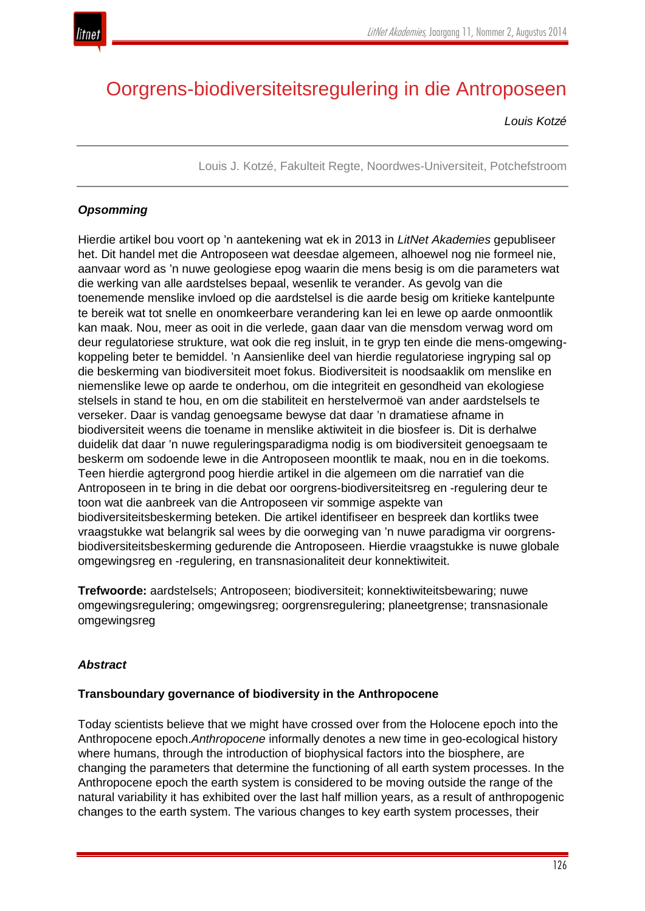

# Oorgrens-biodiversiteitsregulering in die Antroposeen

*Louis Kotzé*

Louis J. Kotzé, Fakulteit Regte, Noordwes-Universiteit, Potchefstroom

## *Opsomming*

Hierdie artikel bou voort op 'n aantekening wat ek in 2013 in *LitNet Akademies* gepubliseer het. Dit handel met die Antroposeen wat deesdae algemeen, alhoewel nog nie formeel nie, aanvaar word as 'n nuwe geologiese epog waarin die mens besig is om die parameters wat die werking van alle aardstelses bepaal, wesenlik te verander. As gevolg van die toenemende menslike invloed op die aardstelsel is die aarde besig om kritieke kantelpunte te bereik wat tot snelle en onomkeerbare verandering kan lei en lewe op aarde onmoontlik kan maak. Nou, meer as ooit in die verlede, gaan daar van die mensdom verwag word om deur regulatoriese strukture, wat ook die reg insluit, in te gryp ten einde die mens-omgewingkoppeling beter te bemiddel. 'n Aansienlike deel van hierdie regulatoriese ingryping sal op die beskerming van biodiversiteit moet fokus. Biodiversiteit is noodsaaklik om menslike en niemenslike lewe op aarde te onderhou, om die integriteit en gesondheid van ekologiese stelsels in stand te hou, en om die stabiliteit en herstelvermoë van ander aardstelsels te verseker. Daar is vandag genoegsame bewyse dat daar 'n dramatiese afname in biodiversiteit weens die toename in menslike aktiwiteit in die biosfeer is. Dit is derhalwe duidelik dat daar 'n nuwe reguleringsparadigma nodig is om biodiversiteit genoegsaam te beskerm om sodoende lewe in die Antroposeen moontlik te maak, nou en in die toekoms. Teen hierdie agtergrond poog hierdie artikel in die algemeen om die narratief van die Antroposeen in te bring in die debat oor oorgrens-biodiversiteitsreg en -regulering deur te toon wat die aanbreek van die Antroposeen vir sommige aspekte van biodiversiteitsbeskerming beteken. Die artikel identifiseer en bespreek dan kortliks twee vraagstukke wat belangrik sal wees by die oorweging van 'n nuwe paradigma vir oorgrensbiodiversiteitsbeskerming gedurende die Antroposeen. Hierdie vraagstukke is nuwe globale omgewingsreg en -regulering, en transnasionaliteit deur konnektiwiteit.

**Trefwoorde:** aardstelsels; Antroposeen; biodiversiteit; konnektiwiteitsbewaring; nuwe omgewingsregulering; omgewingsreg; oorgrensregulering; planeetgrense; transnasionale omgewingsreg

## *Abstract*

## **Transboundary governance of biodiversity in the Anthropocene**

Today scientists believe that we might have crossed over from the Holocene epoch into the Anthropocene epoch.*Anthropocene* informally denotes a new time in geo-ecological history where humans, through the introduction of biophysical factors into the biosphere, are changing the parameters that determine the functioning of all earth system processes. In the Anthropocene epoch the earth system is considered to be moving outside the range of the natural variability it has exhibited over the last half million years, as a result of anthropogenic changes to the earth system. The various changes to key earth system processes, their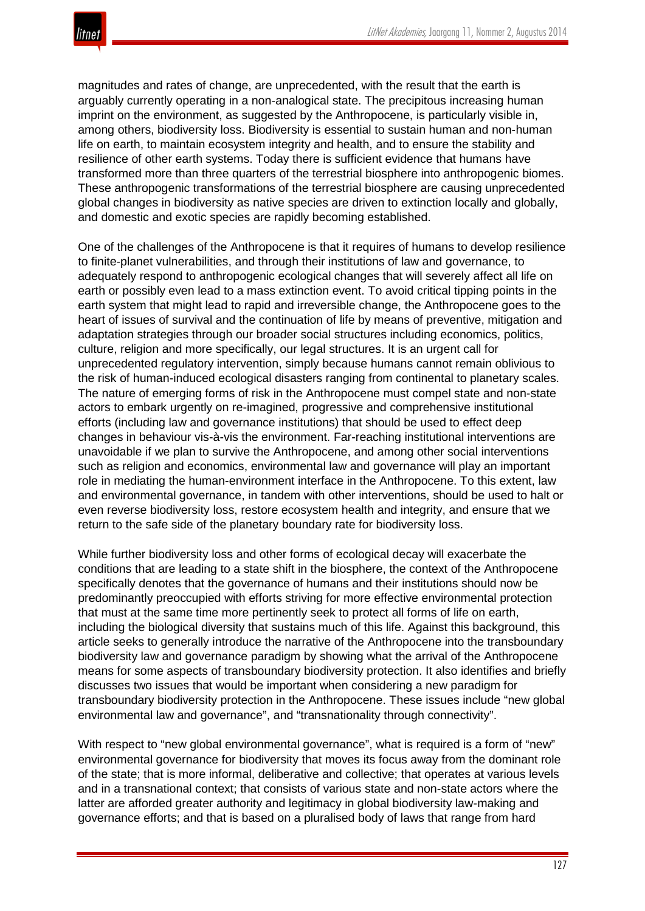magnitudes and rates of change, are unprecedented, with the result that the earth is arguably currently operating in a non-analogical state. The precipitous increasing human imprint on the environment, as suggested by the Anthropocene, is particularly visible in, among others, biodiversity loss. Biodiversity is essential to sustain human and non-human life on earth, to maintain ecosystem integrity and health, and to ensure the stability and resilience of other earth systems. Today there is sufficient evidence that humans have transformed more than three quarters of the terrestrial biosphere into anthropogenic biomes. These anthropogenic transformations of the terrestrial biosphere are causing unprecedented global changes in biodiversity as native species are driven to extinction locally and globally, and domestic and exotic species are rapidly becoming established.

One of the challenges of the Anthropocene is that it requires of humans to develop resilience to finite-planet vulnerabilities, and through their institutions of law and governance, to adequately respond to anthropogenic ecological changes that will severely affect all life on earth or possibly even lead to a mass extinction event. To avoid critical tipping points in the earth system that might lead to rapid and irreversible change, the Anthropocene goes to the heart of issues of survival and the continuation of life by means of preventive, mitigation and adaptation strategies through our broader social structures including economics, politics, culture, religion and more specifically, our legal structures. It is an urgent call for unprecedented regulatory intervention, simply because humans cannot remain oblivious to the risk of human-induced ecological disasters ranging from continental to planetary scales. The nature of emerging forms of risk in the Anthropocene must compel state and non-state actors to embark urgently on re-imagined, progressive and comprehensive institutional efforts (including law and governance institutions) that should be used to effect deep changes in behaviour vis-à-vis the environment. Far-reaching institutional interventions are unavoidable if we plan to survive the Anthropocene, and among other social interventions such as religion and economics, environmental law and governance will play an important role in mediating the human-environment interface in the Anthropocene. To this extent, law and environmental governance, in tandem with other interventions, should be used to halt or even reverse biodiversity loss, restore ecosystem health and integrity, and ensure that we return to the safe side of the planetary boundary rate for biodiversity loss.

While further biodiversity loss and other forms of ecological decay will exacerbate the conditions that are leading to a state shift in the biosphere, the context of the Anthropocene specifically denotes that the governance of humans and their institutions should now be predominantly preoccupied with efforts striving for more effective environmental protection that must at the same time more pertinently seek to protect all forms of life on earth, including the biological diversity that sustains much of this life. Against this background, this article seeks to generally introduce the narrative of the Anthropocene into the transboundary biodiversity law and governance paradigm by showing what the arrival of the Anthropocene means for some aspects of transboundary biodiversity protection. It also identifies and briefly discusses two issues that would be important when considering a new paradigm for transboundary biodiversity protection in the Anthropocene. These issues include "new global environmental law and governance", and "transnationality through connectivity".

With respect to "new global environmental governance", what is required is a form of "new" environmental governance for biodiversity that moves its focus away from the dominant role of the state; that is more informal, deliberative and collective; that operates at various levels and in a transnational context; that consists of various state and non-state actors where the latter are afforded greater authority and legitimacy in global biodiversity law-making and governance efforts; and that is based on a pluralised body of laws that range from hard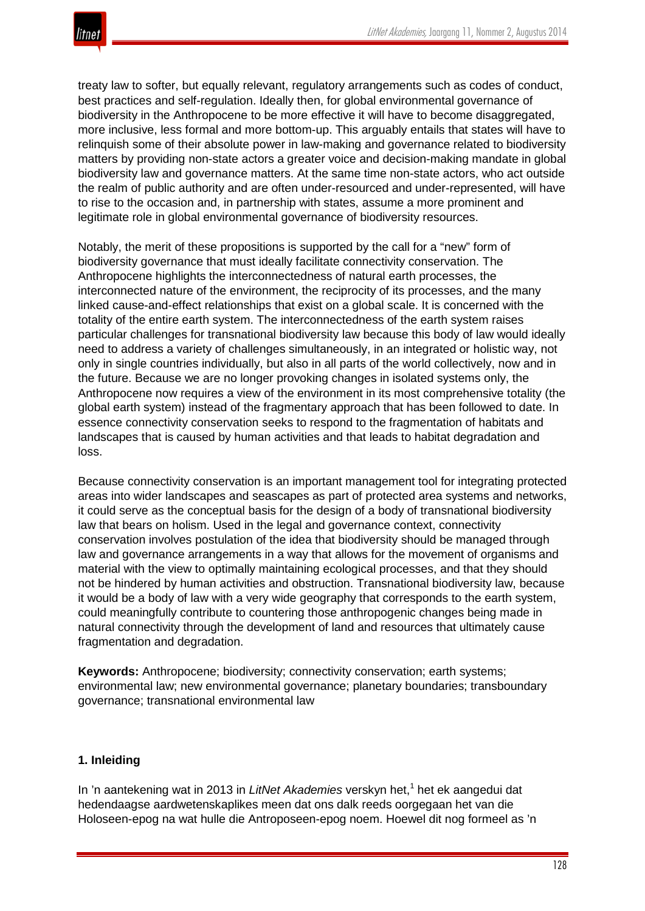

treaty law to softer, but equally relevant, regulatory arrangements such as codes of conduct, best practices and self-regulation. Ideally then, for global environmental governance of biodiversity in the Anthropocene to be more effective it will have to become disaggregated, more inclusive, less formal and more bottom-up. This arguably entails that states will have to relinquish some of their absolute power in law-making and governance related to biodiversity matters by providing non-state actors a greater voice and decision-making mandate in global biodiversity law and governance matters. At the same time non-state actors, who act outside the realm of public authority and are often under-resourced and under-represented, will have to rise to the occasion and, in partnership with states, assume a more prominent and legitimate role in global environmental governance of biodiversity resources.

Notably, the merit of these propositions is supported by the call for a "new" form of biodiversity governance that must ideally facilitate connectivity conservation. The Anthropocene highlights the interconnectedness of natural earth processes, the interconnected nature of the environment, the reciprocity of its processes, and the many linked cause-and-effect relationships that exist on a global scale. It is concerned with the totality of the entire earth system. The interconnectedness of the earth system raises particular challenges for transnational biodiversity law because this body of law would ideally need to address a variety of challenges simultaneously, in an integrated or holistic way, not only in single countries individually, but also in all parts of the world collectively, now and in the future. Because we are no longer provoking changes in isolated systems only, the Anthropocene now requires a view of the environment in its most comprehensive totality (the global earth system) instead of the fragmentary approach that has been followed to date. In essence connectivity conservation seeks to respond to the fragmentation of habitats and landscapes that is caused by human activities and that leads to habitat degradation and loss.

Because connectivity conservation is an important management tool for integrating protected areas into wider landscapes and seascapes as part of protected area systems and networks, it could serve as the conceptual basis for the design of a body of transnational biodiversity law that bears on holism. Used in the legal and governance context, connectivity conservation involves postulation of the idea that biodiversity should be managed through law and governance arrangements in a way that allows for the movement of organisms and material with the view to optimally maintaining ecological processes, and that they should not be hindered by human activities and obstruction. Transnational biodiversity law, because it would be a body of law with a very wide geography that corresponds to the earth system, could meaningfully contribute to countering those anthropogenic changes being made in natural connectivity through the development of land and resources that ultimately cause fragmentation and degradation.

**Keywords:** Anthropocene; biodiversity; connectivity conservation; earth systems; environmental law; new environmental governance; planetary boundaries; transboundary governance; transnational environmental law

## **1. Inleiding**

In 'n aantekening wat in 2013 in *LitNet Akademies* verskyn het,<sup>1</sup> het ek aangedui dat hedendaagse aardwetenskaplikes meen dat ons dalk reeds oorgegaan het van die Holoseen-epog na wat hulle die Antroposeen-epog noem. Hoewel dit nog formeel as 'n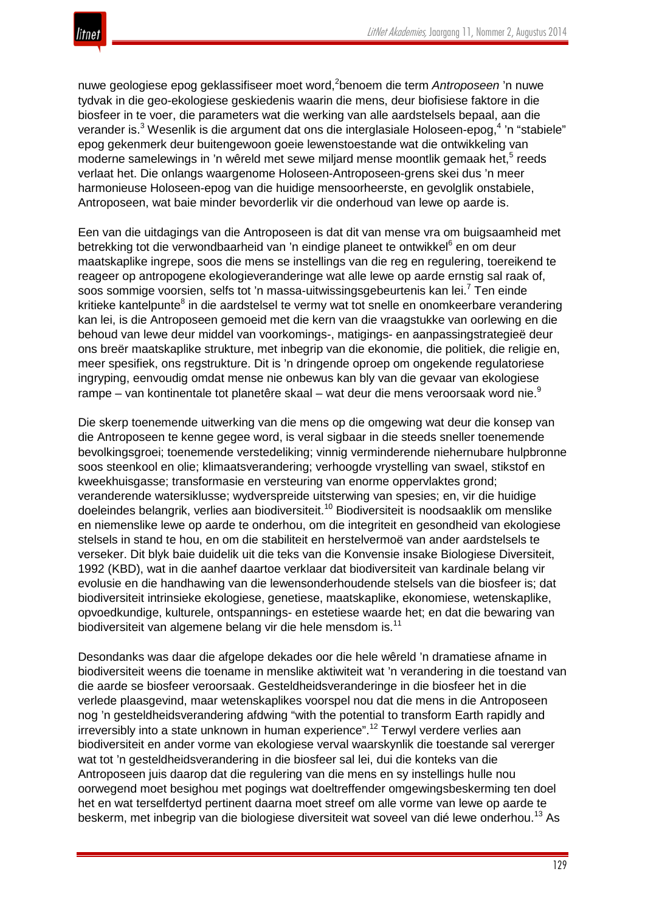nuwe geologiese epog geklassifiseer moet word, <sup>2</sup>benoem die term *Antroposeen* 'n nuwe tydvak in die geo-ekologiese geskiedenis waarin die mens, deur biofisiese faktore in die biosfeer in te voer, die parameters wat die werking van alle aardstelsels bepaal, aan die verander is.<sup>3</sup> Wesenlik is die argument dat ons die interglasiale Holoseen-epog,<sup>4</sup> 'n "stabiele" epog gekenmerk deur buitengewoon goeie lewenstoestande wat die ontwikkeling van moderne samelewings in 'n wêreld met sewe miljard mense moontlik gemaak het,<sup>5</sup> reeds verlaat het. Die onlangs waargenome Holoseen-Antroposeen-grens skei dus 'n meer harmonieuse Holoseen-epog van die huidige mensoorheerste, en gevolglik onstabiele, Antroposeen, wat baie minder bevorderlik vir die onderhoud van lewe op aarde is.

Een van die uitdagings van die Antroposeen is dat dit van mense vra om buigsaamheid met betrekking tot die verwondbaarheid van 'n eindige planeet te ontwikkel<sup>6</sup> en om deur maatskaplike ingrepe, soos die mens se instellings van die reg en regulering, toereikend te reageer op antropogene ekologieveranderinge wat alle lewe op aarde ernstig sal raak of, soos sommige voorsien, selfs tot 'n massa-uitwissingsgebeurtenis kan lei.<sup>7</sup> Ten einde kritieke kantelpunte $8$  in die aardstelsel te vermy wat tot snelle en onomkeerbare verandering kan lei, is die Antroposeen gemoeid met die kern van die vraagstukke van oorlewing en die behoud van lewe deur middel van voorkomings-, matigings- en aanpassingstrategieë deur ons breër maatskaplike strukture, met inbegrip van die ekonomie, die politiek, die religie en, meer spesifiek, ons regstrukture. Dit is 'n dringende oproep om ongekende regulatoriese ingryping, eenvoudig omdat mense nie onbewus kan bly van die gevaar van ekologiese rampe – van kontinentale tot planetêre skaal – wat deur die mens veroorsaak word nie.<sup>9</sup>

Die skerp toenemende uitwerking van die mens op die omgewing wat deur die konsep van die Antroposeen te kenne gegee word, is veral sigbaar in die steeds sneller toenemende bevolkingsgroei; toenemende verstedeliking; vinnig verminderende niehernubare hulpbronne soos steenkool en olie; klimaatsverandering; verhoogde vrystelling van swael, stikstof en kweekhuisgasse; transformasie en versteuring van enorme oppervlaktes grond; veranderende watersiklusse; wydverspreide uitsterwing van spesies; en, vir die huidige doeleindes belangrik, verlies aan biodiversiteit.<sup>10</sup> Biodiversiteit is noodsaaklik om menslike en niemenslike lewe op aarde te onderhou, om die integriteit en gesondheid van ekologiese stelsels in stand te hou, en om die stabiliteit en herstelvermoë van ander aardstelsels te verseker. Dit blyk baie duidelik uit die teks van die Konvensie insake Biologiese Diversiteit, 1992 (KBD), wat in die aanhef daartoe verklaar dat biodiversiteit van kardinale belang vir evolusie en die handhawing van die lewensonderhoudende stelsels van die biosfeer is; dat biodiversiteit intrinsieke ekologiese, genetiese, maatskaplike, ekonomiese, wetenskaplike, opvoedkundige, kulturele, ontspannings- en estetiese waarde het; en dat die bewaring van biodiversiteit van algemene belang vir die hele mensdom is.<sup>11</sup>

Desondanks was daar die afgelope dekades oor die hele wêreld 'n dramatiese afname in biodiversiteit weens die toename in menslike aktiwiteit wat 'n verandering in die toestand van die aarde se biosfeer veroorsaak. Gesteldheidsveranderinge in die biosfeer het in die verlede plaasgevind, maar wetenskaplikes voorspel nou dat die mens in die Antroposeen nog 'n gesteldheidsverandering afdwing "with the potential to transform Earth rapidly and irreversibly into a state unknown in human experience".<sup>12</sup> Terwyl verdere verlies aan biodiversiteit en ander vorme van ekologiese verval waarskynlik die toestande sal vererger wat tot 'n gesteldheidsverandering in die biosfeer sal lei, dui die konteks van die Antroposeen juis daarop dat die regulering van die mens en sy instellings hulle nou oorwegend moet besighou met pogings wat doeltreffender omgewingsbeskerming ten doel het en wat terselfdertyd pertinent daarna moet streef om alle vorme van lewe op aarde te beskerm, met inbegrip van die biologiese diversiteit wat soveel van dié lewe onderhou.<sup>13</sup> As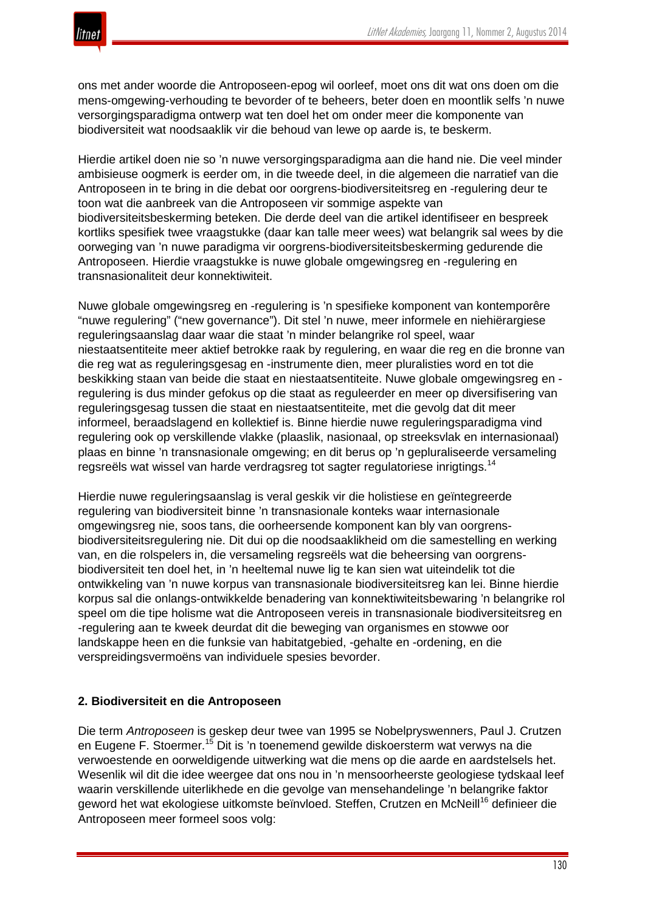

ons met ander woorde die Antroposeen-epog wil oorleef, moet ons dit wat ons doen om die mens-omgewing-verhouding te bevorder of te beheers, beter doen en moontlik selfs 'n nuwe versorgingsparadigma ontwerp wat ten doel het om onder meer die komponente van biodiversiteit wat noodsaaklik vir die behoud van lewe op aarde is, te beskerm.

Hierdie artikel doen nie so 'n nuwe versorgingsparadigma aan die hand nie. Die veel minder ambisieuse oogmerk is eerder om, in die tweede deel, in die algemeen die narratief van die Antroposeen in te bring in die debat oor oorgrens-biodiversiteitsreg en -regulering deur te toon wat die aanbreek van die Antroposeen vir sommige aspekte van biodiversiteitsbeskerming beteken. Die derde deel van die artikel identifiseer en bespreek kortliks spesifiek twee vraagstukke (daar kan talle meer wees) wat belangrik sal wees by die oorweging van 'n nuwe paradigma vir oorgrens-biodiversiteitsbeskerming gedurende die Antroposeen. Hierdie vraagstukke is nuwe globale omgewingsreg en -regulering en transnasionaliteit deur konnektiwiteit.

Nuwe globale omgewingsreg en -regulering is 'n spesifieke komponent van kontemporêre "nuwe regulering" ("new governance"). Dit stel 'n nuwe, meer informele en niehiërargiese reguleringsaanslag daar waar die staat 'n minder belangrike rol speel, waar niestaatsentiteite meer aktief betrokke raak by regulering, en waar die reg en die bronne van die reg wat as reguleringsgesag en -instrumente dien, meer pluralisties word en tot die beskikking staan van beide die staat en niestaatsentiteite. Nuwe globale omgewingsreg en regulering is dus minder gefokus op die staat as reguleerder en meer op diversifisering van reguleringsgesag tussen die staat en niestaatsentiteite, met die gevolg dat dit meer informeel, beraadslagend en kollektief is. Binne hierdie nuwe reguleringsparadigma vind regulering ook op verskillende vlakke (plaaslik, nasionaal, op streeksvlak en internasionaal) plaas en binne 'n transnasionale omgewing; en dit berus op 'n gepluraliseerde versameling regsreëls wat wissel van harde verdragsreg tot sagter regulatoriese inrigtings.<sup>14</sup>

Hierdie nuwe reguleringsaanslag is veral geskik vir die holistiese en geïntegreerde regulering van biodiversiteit binne 'n transnasionale konteks waar internasionale omgewingsreg nie, soos tans, die oorheersende komponent kan bly van oorgrensbiodiversiteitsregulering nie. Dit dui op die noodsaaklikheid om die samestelling en werking van, en die rolspelers in, die versameling regsreëls wat die beheersing van oorgrensbiodiversiteit ten doel het, in 'n heeltemal nuwe lig te kan sien wat uiteindelik tot die ontwikkeling van 'n nuwe korpus van transnasionale biodiversiteitsreg kan lei. Binne hierdie korpus sal die onlangs-ontwikkelde benadering van konnektiwiteitsbewaring 'n belangrike rol speel om die tipe holisme wat die Antroposeen vereis in transnasionale biodiversiteitsreg en -regulering aan te kweek deurdat dit die beweging van organismes en stowwe oor landskappe heen en die funksie van habitatgebied, -gehalte en -ordening, en die verspreidingsvermoëns van individuele spesies bevorder.

## **2. Biodiversiteit en die Antroposeen**

Die term *Antroposeen* is geskep deur twee van 1995 se Nobelpryswenners, Paul J. Crutzen en Eugene F. Stoermer.<sup>15</sup> Dit is 'n toenemend gewilde diskoersterm wat verwys na die verwoestende en oorweldigende uitwerking wat die mens op die aarde en aardstelsels het. Wesenlik wil dit die idee weergee dat ons nou in 'n mensoorheerste geologiese tydskaal leef waarin verskillende uiterlikhede en die gevolge van mensehandelinge 'n belangrike faktor geword het wat ekologiese uitkomste beïnvloed. Steffen, Crutzen en McNeill<sup>16</sup> definieer die Antroposeen meer formeel soos volg: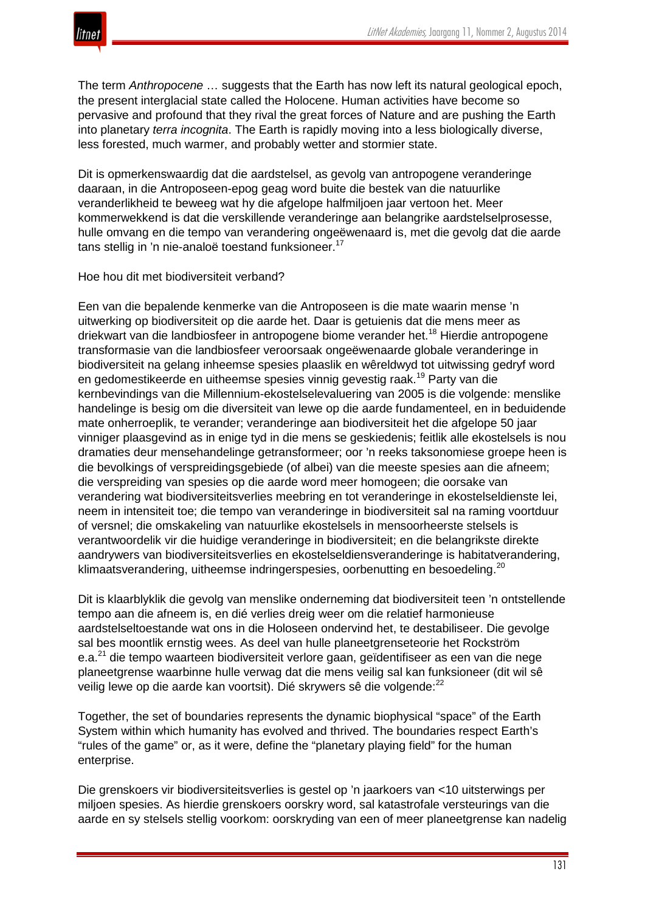

The term *Anthropocene* … suggests that the Earth has now left its natural geological epoch, the present interglacial state called the Holocene. Human activities have become so pervasive and profound that they rival the great forces of Nature and are pushing the Earth into planetary *terra incognita*. The Earth is rapidly moving into a less biologically diverse, less forested, much warmer, and probably wetter and stormier state.

Dit is opmerkenswaardig dat die aardstelsel, as gevolg van antropogene veranderinge daaraan, in die Antroposeen-epog geag word buite die bestek van die natuurlike veranderlikheid te beweeg wat hy die afgelope halfmiljoen jaar vertoon het. Meer kommerwekkend is dat die verskillende veranderinge aan belangrike aardstelselprosesse, hulle omvang en die tempo van verandering ongeëwenaard is, met die gevolg dat die aarde tans stellig in 'n nie-analoë toestand funksioneer.<sup>17</sup>

#### Hoe hou dit met biodiversiteit verband?

Een van die bepalende kenmerke van die Antroposeen is die mate waarin mense 'n uitwerking op biodiversiteit op die aarde het. Daar is getuienis dat die mens meer as driekwart van die landbiosfeer in antropogene biome verander het.<sup>18</sup> Hierdie antropogene transformasie van die landbiosfeer veroorsaak ongeëwenaarde globale veranderinge in biodiversiteit na gelang inheemse spesies plaaslik en wêreldwyd tot uitwissing gedryf word en gedomestikeerde en uitheemse spesies vinnig gevestig raak.<sup>19</sup> Party van die kernbevindings van die Millennium-ekostelselevaluering van 2005 is die volgende: menslike handelinge is besig om die diversiteit van lewe op die aarde fundamenteel, en in beduidende mate onherroeplik, te verander; veranderinge aan biodiversiteit het die afgelope 50 jaar vinniger plaasgevind as in enige tyd in die mens se geskiedenis; feitlik alle ekostelsels is nou dramaties deur mensehandelinge getransformeer; oor 'n reeks taksonomiese groepe heen is die bevolkings of verspreidingsgebiede (of albei) van die meeste spesies aan die afneem; die verspreiding van spesies op die aarde word meer homogeen; die oorsake van verandering wat biodiversiteitsverlies meebring en tot veranderinge in ekostelseldienste lei, neem in intensiteit toe; die tempo van veranderinge in biodiversiteit sal na raming voortduur of versnel; die omskakeling van natuurlike ekostelsels in mensoorheerste stelsels is verantwoordelik vir die huidige veranderinge in biodiversiteit; en die belangrikste direkte aandrywers van biodiversiteitsverlies en ekostelseldiensveranderinge is habitatverandering, klimaatsverandering, uitheemse indringerspesies, oorbenutting en besoedeling.<sup>20</sup>

Dit is klaarblyklik die gevolg van menslike onderneming dat biodiversiteit teen 'n ontstellende tempo aan die afneem is, en dié verlies dreig weer om die relatief harmonieuse aardstelseltoestande wat ons in die Holoseen ondervind het, te destabiliseer. Die gevolge sal bes moontlik ernstig wees. As deel van hulle planeetgrenseteorie het Rockström e.a.<sup>21</sup> die tempo waarteen biodiversiteit verlore gaan, geïdentifiseer as een van die nege planeetgrense waarbinne hulle verwag dat die mens veilig sal kan funksioneer (dit wil sê veilig lewe op die aarde kan voortsit). Dié skrywers sê die volgende: <sup>22</sup>

Together, the set of boundaries represents the dynamic biophysical "space" of the Earth System within which humanity has evolved and thrived. The boundaries respect Earth's "rules of the game" or, as it were, define the "planetary playing field" for the human enterprise.

Die grenskoers vir biodiversiteitsverlies is gestel op 'n jaarkoers van <10 uitsterwings per miljoen spesies. As hierdie grenskoers oorskry word, sal katastrofale versteurings van die aarde en sy stelsels stellig voorkom: oorskryding van een of meer planeetgrense kan nadelig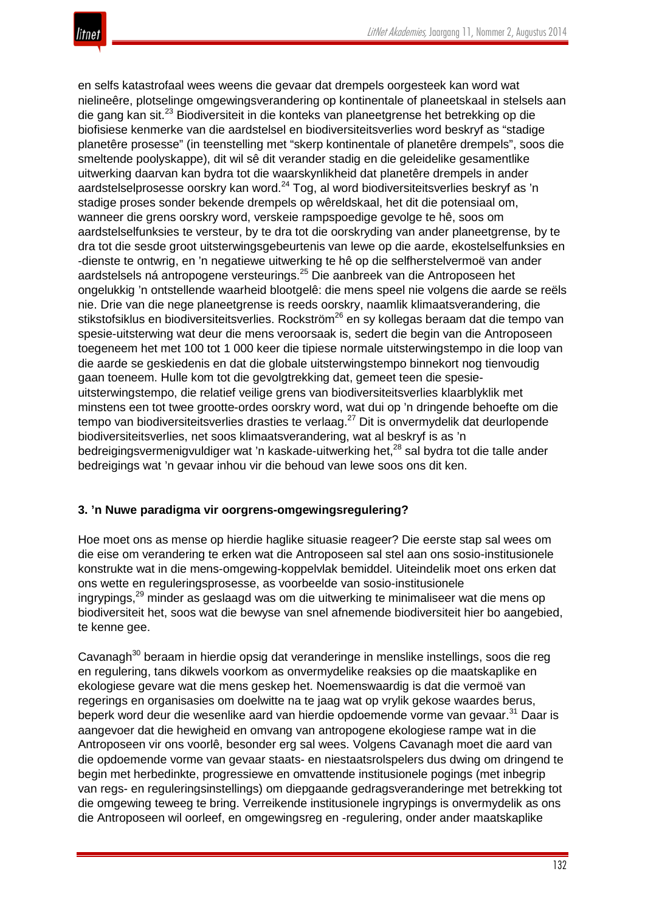

en selfs katastrofaal wees weens die gevaar dat drempels oorgesteek kan word wat nielineêre, plotselinge omgewingsverandering op kontinentale of planeetskaal in stelsels aan die gang kan sit.<sup>23</sup> Biodiversiteit in die konteks van planeetgrense het betrekking op die biofisiese kenmerke van die aardstelsel en biodiversiteitsverlies word beskryf as "stadige planetêre prosesse" (in teenstelling met "skerp kontinentale of planetêre drempels", soos die smeltende poolyskappe), dit wil sê dit verander stadig en die geleidelike gesamentlike uitwerking daarvan kan bydra tot die waarskynlikheid dat planetêre drempels in ander aardstelselprosesse oorskry kan word.<sup>24</sup> Tog, al word biodiversiteitsverlies beskryf as 'n stadige proses sonder bekende drempels op wêreldskaal, het dit die potensiaal om, wanneer die grens oorskry word, verskeie rampspoedige gevolge te hê, soos om aardstelselfunksies te versteur, by te dra tot die oorskryding van ander planeetgrense, by te dra tot die sesde groot uitsterwingsgebeurtenis van lewe op die aarde, ekostelselfunksies en -dienste te ontwrig, en 'n negatiewe uitwerking te hê op die selfherstelvermoë van ander aardstelsels ná antropogene versteurings.<sup>25</sup> Die aanbreek van die Antroposeen het ongelukkig 'n ontstellende waarheid blootgelê: die mens speel nie volgens die aarde se reëls nie. Drie van die nege planeetgrense is reeds oorskry, naamlik klimaatsverandering, die stikstofsiklus en biodiversiteitsverlies. Rockström<sup>26</sup> en sy kollegas beraam dat die tempo van spesie-uitsterwing wat deur die mens veroorsaak is, sedert die begin van die Antroposeen toegeneem het met 100 tot 1 000 keer die tipiese normale uitsterwingstempo in die loop van die aarde se geskiedenis en dat die globale uitsterwingstempo binnekort nog tienvoudig gaan toeneem. Hulle kom tot die gevolgtrekking dat, gemeet teen die spesieuitsterwingstempo, die relatief veilige grens van biodiversiteitsverlies klaarblyklik met minstens een tot twee grootte-ordes oorskry word, wat dui op 'n dringende behoefte om die tempo van biodiversiteitsverlies drasties te verlaag.<sup>27</sup> Dit is onvermydelik dat deurlopende biodiversiteitsverlies, net soos klimaatsverandering, wat al beskryf is as 'n bedreigingsvermenigvuldiger wat 'n kaskade-uitwerking het,<sup>28</sup> sal bydra tot die talle ander bedreigings wat 'n gevaar inhou vir die behoud van lewe soos ons dit ken.

## **3. 'n Nuwe paradigma vir oorgrens-omgewingsregulering?**

Hoe moet ons as mense op hierdie haglike situasie reageer? Die eerste stap sal wees om die eise om verandering te erken wat die Antroposeen sal stel aan ons sosio-institusionele konstrukte wat in die mens-omgewing-koppelvlak bemiddel. Uiteindelik moet ons erken dat ons wette en reguleringsprosesse, as voorbeelde van sosio-institusionele ingrypings,<sup>29</sup> minder as geslaagd was om die uitwerking te minimaliseer wat die mens op biodiversiteit het, soos wat die bewyse van snel afnemende biodiversiteit hier bo aangebied, te kenne gee.

Cavanagh<sup>30</sup> beraam in hierdie opsig dat veranderinge in menslike instellings, soos die reg en regulering, tans dikwels voorkom as onvermydelike reaksies op die maatskaplike en ekologiese gevare wat die mens geskep het. Noemenswaardig is dat die vermoë van regerings en organisasies om doelwitte na te jaag wat op vrylik gekose waardes berus, beperk word deur die wesenlike aard van hierdie opdoemende vorme van gevaar.<sup>31</sup> Daar is aangevoer dat die hewigheid en omvang van antropogene ekologiese rampe wat in die Antroposeen vir ons voorlê, besonder erg sal wees. Volgens Cavanagh moet die aard van die opdoemende vorme van gevaar staats- en niestaatsrolspelers dus dwing om dringend te begin met herbedinkte, progressiewe en omvattende institusionele pogings (met inbegrip van regs- en reguleringsinstellings) om diepgaande gedragsveranderinge met betrekking tot die omgewing teweeg te bring. Verreikende institusionele ingrypings is onvermydelik as ons die Antroposeen wil oorleef, en omgewingsreg en -regulering, onder ander maatskaplike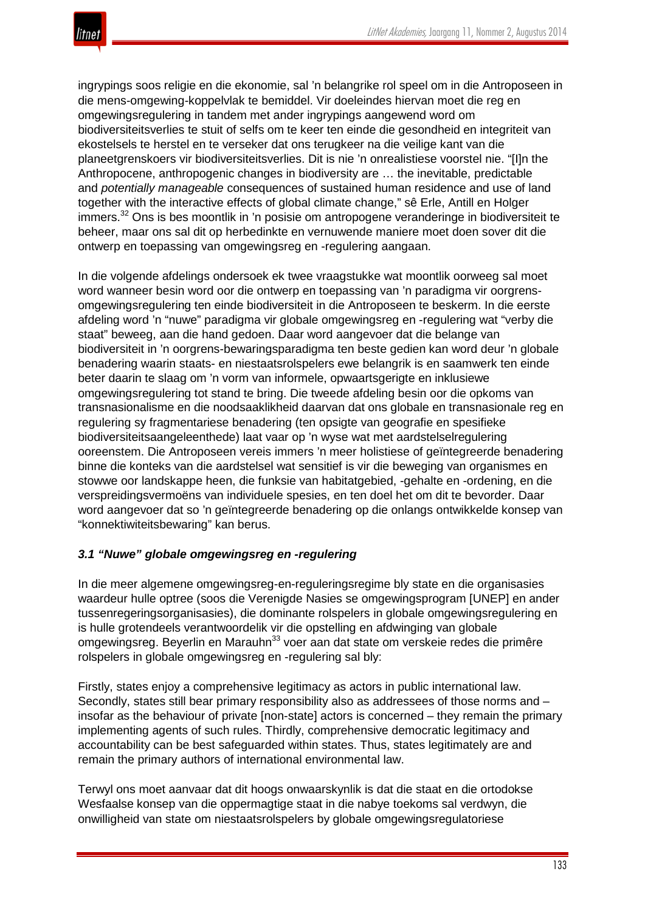

ingrypings soos religie en die ekonomie, sal 'n belangrike rol speel om in die Antroposeen in die mens-omgewing-koppelvlak te bemiddel. Vir doeleindes hiervan moet die reg en omgewingsregulering in tandem met ander ingrypings aangewend word om biodiversiteitsverlies te stuit of selfs om te keer ten einde die gesondheid en integriteit van ekostelsels te herstel en te verseker dat ons terugkeer na die veilige kant van die planeetgrenskoers vir biodiversiteitsverlies. Dit is nie 'n onrealistiese voorstel nie. "[I]n the Anthropocene, anthropogenic changes in biodiversity are … the inevitable, predictable and *potentially manageable* consequences of sustained human residence and use of land together with the interactive effects of global climate change," sê Erle, Antill en Holger immers. $32$  Ons is bes moontlik in 'n posisie om antropogene veranderinge in biodiversiteit te beheer, maar ons sal dit op herbedinkte en vernuwende maniere moet doen sover dit die ontwerp en toepassing van omgewingsreg en -regulering aangaan.

In die volgende afdelings ondersoek ek twee vraagstukke wat moontlik oorweeg sal moet word wanneer besin word oor die ontwerp en toepassing van 'n paradigma vir oorgrensomgewingsregulering ten einde biodiversiteit in die Antroposeen te beskerm. In die eerste afdeling word 'n "nuwe" paradigma vir globale omgewingsreg en -regulering wat "verby die staat" beweeg, aan die hand gedoen. Daar word aangevoer dat die belange van biodiversiteit in 'n oorgrens-bewaringsparadigma ten beste gedien kan word deur 'n globale benadering waarin staats- en niestaatsrolspelers ewe belangrik is en saamwerk ten einde beter daarin te slaag om 'n vorm van informele, opwaartsgerigte en inklusiewe omgewingsregulering tot stand te bring. Die tweede afdeling besin oor die opkoms van transnasionalisme en die noodsaaklikheid daarvan dat ons globale en transnasionale reg en regulering sy fragmentariese benadering (ten opsigte van geografie en spesifieke biodiversiteitsaangeleenthede) laat vaar op 'n wyse wat met aardstelselregulering ooreenstem. Die Antroposeen vereis immers 'n meer holistiese of geïntegreerde benadering binne die konteks van die aardstelsel wat sensitief is vir die beweging van organismes en stowwe oor landskappe heen, die funksie van habitatgebied, -gehalte en -ordening, en die verspreidingsvermoëns van individuele spesies, en ten doel het om dit te bevorder. Daar word aangevoer dat so 'n geïntegreerde benadering op die onlangs ontwikkelde konsep van "konnektiwiteitsbewaring" kan berus.

## *3.1 "Nuwe" globale omgewingsreg en -regulering*

In die meer algemene omgewingsreg-en-reguleringsregime bly state en die organisasies waardeur hulle optree (soos die Verenigde Nasies se omgewingsprogram [UNEP] en ander tussenregeringsorganisasies), die dominante rolspelers in globale omgewingsregulering en is hulle grotendeels verantwoordelik vir die opstelling en afdwinging van globale omgewingsreg. Beyerlin en Marauhn<sup>33</sup> voer aan dat state om verskeie redes die primêre rolspelers in globale omgewingsreg en -regulering sal bly:

Firstly, states enjoy a comprehensive legitimacy as actors in public international law. Secondly, states still bear primary responsibility also as addressees of those norms and – insofar as the behaviour of private [non-state] actors is concerned – they remain the primary implementing agents of such rules. Thirdly, comprehensive democratic legitimacy and accountability can be best safeguarded within states. Thus, states legitimately are and remain the primary authors of international environmental law.

Terwyl ons moet aanvaar dat dit hoogs onwaarskynlik is dat die staat en die ortodokse Wesfaalse konsep van die oppermagtige staat in die nabye toekoms sal verdwyn, die onwilligheid van state om niestaatsrolspelers by globale omgewingsregulatoriese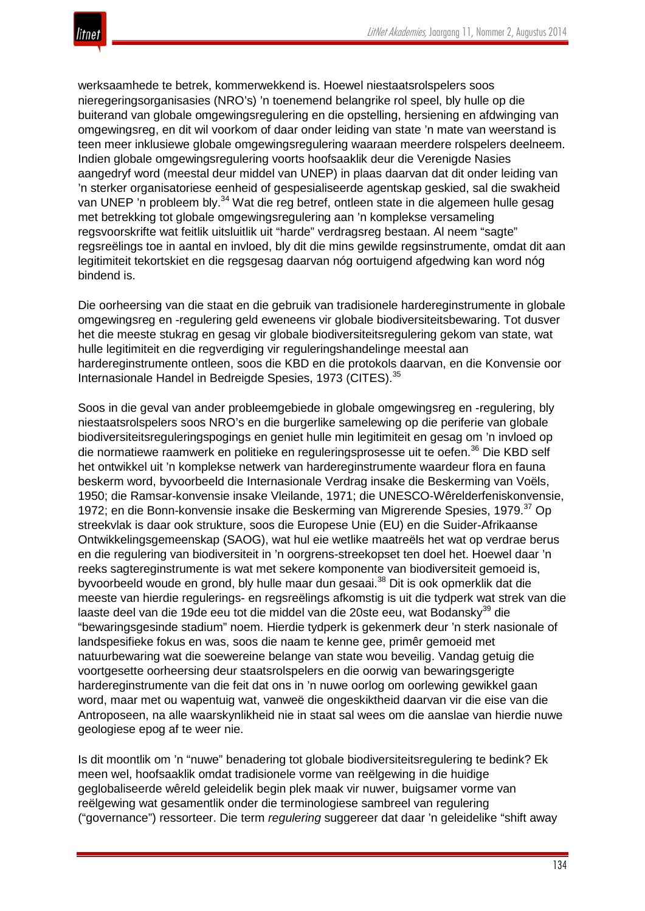

werksaamhede te betrek, kommerwekkend is. Hoewel niestaatsrolspelers soos nieregeringsorganisasies (NRO's) 'n toenemend belangrike rol speel, bly hulle op die buiterand van globale omgewingsregulering en die opstelling, hersiening en afdwinging van omgewingsreg, en dit wil voorkom of daar onder leiding van state 'n mate van weerstand is teen meer inklusiewe globale omgewingsregulering waaraan meerdere rolspelers deelneem. Indien globale omgewingsregulering voorts hoofsaaklik deur die Verenigde Nasies aangedryf word (meestal deur middel van UNEP) in plaas daarvan dat dit onder leiding van 'n sterker organisatoriese eenheid of gespesialiseerde agentskap geskied, sal die swakheid van UNEP 'n probleem bly.<sup>34</sup> Wat die reg betref, ontleen state in die algemeen hulle gesag met betrekking tot globale omgewingsregulering aan 'n komplekse versameling regsvoorskrifte wat feitlik uitsluitlik uit "harde" verdragsreg bestaan. Al neem "sagte" regsreëlings toe in aantal en invloed, bly dit die mins gewilde regsinstrumente, omdat dit aan legitimiteit tekortskiet en die regsgesag daarvan nóg oortuigend afgedwing kan word nóg bindend is.

Die oorheersing van die staat en die gebruik van tradisionele hardereginstrumente in globale omgewingsreg en -regulering geld eweneens vir globale biodiversiteitsbewaring. Tot dusver het die meeste stukrag en gesag vir globale biodiversiteitsregulering gekom van state, wat hulle legitimiteit en die regverdiging vir reguleringshandelinge meestal aan hardereginstrumente ontleen, soos die KBD en die protokols daarvan, en die Konvensie oor Internasionale Handel in Bedreigde Spesies, 1973 (CITES).<sup>35</sup>

Soos in die geval van ander probleemgebiede in globale omgewingsreg en -regulering, bly niestaatsrolspelers soos NRO's en die burgerlike samelewing op die periferie van globale biodiversiteitsreguleringspogings en geniet hulle min legitimiteit en gesag om 'n invloed op die normatiewe raamwerk en politieke en reguleringsprosesse uit te oefen.<sup>36</sup> Die KBD self het ontwikkel uit 'n komplekse netwerk van hardereginstrumente waardeur flora en fauna beskerm word, byvoorbeeld die Internasionale Verdrag insake die Beskerming van Voëls, 1950; die Ramsar-konvensie insake Vleilande, 1971; die UNESCO-Wêrelderfeniskonvensie, 1972; en die Bonn-konvensie insake die Beskerming van Migrerende Spesies, 1979.<sup>37</sup> Op streekvlak is daar ook strukture, soos die Europese Unie (EU) en die Suider-Afrikaanse Ontwikkelingsgemeenskap (SAOG), wat hul eie wetlike maatreëls het wat op verdrae berus en die regulering van biodiversiteit in 'n oorgrens-streekopset ten doel het. Hoewel daar 'n reeks sagtereginstrumente is wat met sekere komponente van biodiversiteit gemoeid is, byvoorbeeld woude en grond, bly hulle maar dun gesaai.<sup>38</sup> Dit is ook opmerklik dat die meeste van hierdie regulerings- en regsreëlings afkomstig is uit die tydperk wat strek van die laaste deel van die 19de eeu tot die middel van die 20ste eeu, wat Bodansky<sup>39</sup> die "bewaringsgesinde stadium" noem. Hierdie tydperk is gekenmerk deur 'n sterk nasionale of landspesifieke fokus en was, soos die naam te kenne gee, primêr gemoeid met natuurbewaring wat die soewereine belange van state wou beveilig. Vandag getuig die voortgesette oorheersing deur staatsrolspelers en die oorwig van bewaringsgerigte hardereginstrumente van die feit dat ons in 'n nuwe oorlog om oorlewing gewikkel gaan word, maar met ou wapentuig wat, vanweë die ongeskiktheid daarvan vir die eise van die Antroposeen, na alle waarskynlikheid nie in staat sal wees om die aanslae van hierdie nuwe geologiese epog af te weer nie.

Is dit moontlik om 'n "nuwe" benadering tot globale biodiversiteitsregulering te bedink? Ek meen wel, hoofsaaklik omdat tradisionele vorme van reëlgewing in die huidige geglobaliseerde wêreld geleidelik begin plek maak vir nuwer, buigsamer vorme van reëlgewing wat gesamentlik onder die terminologiese sambreel van regulering ("governance") ressorteer. Die term *regulering* suggereer dat daar 'n geleidelike "shift away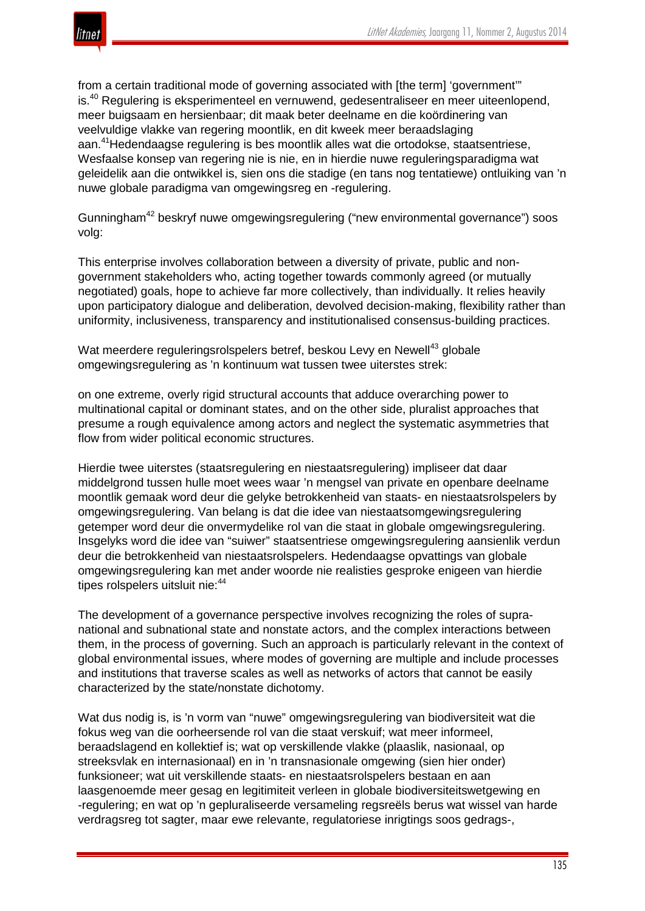

from a certain traditional mode of governing associated with [the term] 'government'" is.<sup>40</sup> Regulering is eksperimenteel en vernuwend, gedesentraliseer en meer uiteenlopend, meer buigsaam en hersienbaar; dit maak beter deelname en die koördinering van veelvuldige vlakke van regering moontlik, en dit kweek meer beraadslaging aan.41Hedendaagse regulering is bes moontlik alles wat die ortodokse, staatsentriese, Wesfaalse konsep van regering nie is nie, en in hierdie nuwe reguleringsparadigma wat geleidelik aan die ontwikkel is, sien ons die stadige (en tans nog tentatiewe) ontluiking van 'n nuwe globale paradigma van omgewingsreg en -regulering.

Gunningham<sup>42</sup> beskryf nuwe omgewingsregulering ("new environmental governance") soos volg:

This enterprise involves collaboration between a diversity of private, public and nongovernment stakeholders who, acting together towards commonly agreed (or mutually negotiated) goals, hope to achieve far more collectively, than individually. It relies heavily upon participatory dialogue and deliberation, devolved decision-making, flexibility rather than uniformity, inclusiveness, transparency and institutionalised consensus-building practices.

Wat meerdere reguleringsrolspelers betref, beskou Levy en Newell<sup>43</sup> globale omgewingsregulering as 'n kontinuum wat tussen twee uiterstes strek:

on one extreme, overly rigid structural accounts that adduce overarching power to multinational capital or dominant states, and on the other side, pluralist approaches that presume a rough equivalence among actors and neglect the systematic asymmetries that flow from wider political economic structures.

Hierdie twee uiterstes (staatsregulering en niestaatsregulering) impliseer dat daar middelgrond tussen hulle moet wees waar 'n mengsel van private en openbare deelname moontlik gemaak word deur die gelyke betrokkenheid van staats- en niestaatsrolspelers by omgewingsregulering. Van belang is dat die idee van niestaatsomgewingsregulering getemper word deur die onvermydelike rol van die staat in globale omgewingsregulering. Insgelyks word die idee van "suiwer" staatsentriese omgewingsregulering aansienlik verdun deur die betrokkenheid van niestaatsrolspelers. Hedendaagse opvattings van globale omgewingsregulering kan met ander woorde nie realisties gesproke enigeen van hierdie tipes rolspelers uitsluit nie: 44

The development of a governance perspective involves recognizing the roles of supranational and subnational state and nonstate actors, and the complex interactions between them, in the process of governing. Such an approach is particularly relevant in the context of global environmental issues, where modes of governing are multiple and include processes and institutions that traverse scales as well as networks of actors that cannot be easily characterized by the state/nonstate dichotomy.

Wat dus nodig is, is 'n vorm van "nuwe" omgewingsregulering van biodiversiteit wat die fokus weg van die oorheersende rol van die staat verskuif; wat meer informeel, beraadslagend en kollektief is; wat op verskillende vlakke (plaaslik, nasionaal, op streeksvlak en internasionaal) en in 'n transnasionale omgewing (sien hier onder) funksioneer; wat uit verskillende staats- en niestaatsrolspelers bestaan en aan laasgenoemde meer gesag en legitimiteit verleen in globale biodiversiteitswetgewing en -regulering; en wat op 'n gepluraliseerde versameling regsreëls berus wat wissel van harde verdragsreg tot sagter, maar ewe relevante, regulatoriese inrigtings soos gedrags-,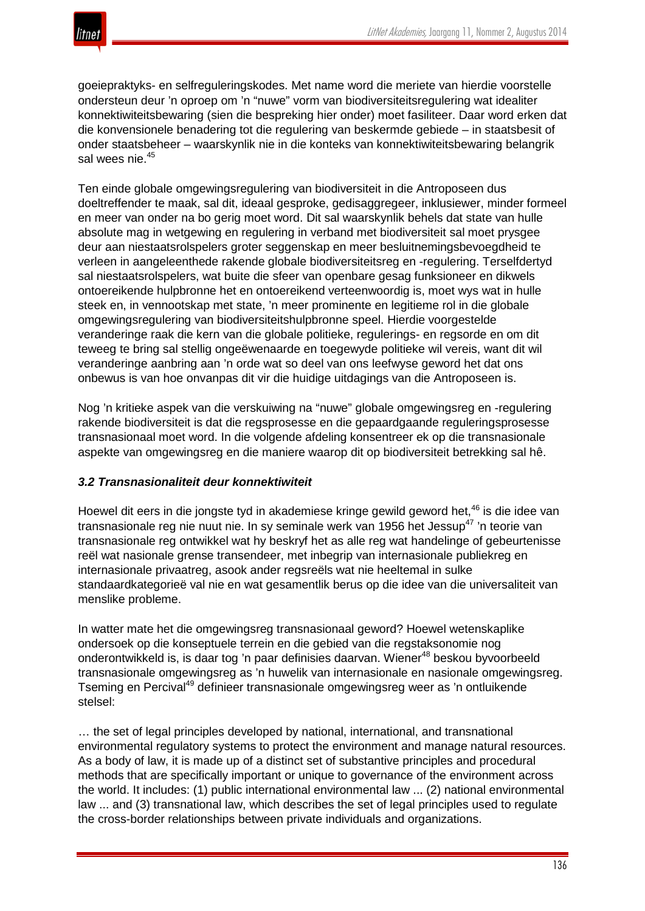

goeiepraktyks- en selfreguleringskodes. Met name word die meriete van hierdie voorstelle ondersteun deur 'n oproep om 'n "nuwe" vorm van biodiversiteitsregulering wat idealiter konnektiwiteitsbewaring (sien die bespreking hier onder) moet fasiliteer. Daar word erken dat die konvensionele benadering tot die regulering van beskermde gebiede – in staatsbesit of onder staatsbeheer – waarskynlik nie in die konteks van konnektiwiteitsbewaring belangrik sal wees nie.<sup>45</sup>

Ten einde globale omgewingsregulering van biodiversiteit in die Antroposeen dus doeltreffender te maak, sal dit, ideaal gesproke, gedisaggregeer, inklusiewer, minder formeel en meer van onder na bo gerig moet word. Dit sal waarskynlik behels dat state van hulle absolute mag in wetgewing en regulering in verband met biodiversiteit sal moet prysgee deur aan niestaatsrolspelers groter seggenskap en meer besluitnemingsbevoegdheid te verleen in aangeleenthede rakende globale biodiversiteitsreg en -regulering. Terselfdertyd sal niestaatsrolspelers, wat buite die sfeer van openbare gesag funksioneer en dikwels ontoereikende hulpbronne het en ontoereikend verteenwoordig is, moet wys wat in hulle steek en, in vennootskap met state, 'n meer prominente en legitieme rol in die globale omgewingsregulering van biodiversiteitshulpbronne speel. Hierdie voorgestelde veranderinge raak die kern van die globale politieke, regulerings- en regsorde en om dit teweeg te bring sal stellig ongeëwenaarde en toegewyde politieke wil vereis, want dit wil veranderinge aanbring aan 'n orde wat so deel van ons leefwyse geword het dat ons onbewus is van hoe onvanpas dit vir die huidige uitdagings van die Antroposeen is.

Nog 'n kritieke aspek van die verskuiwing na "nuwe" globale omgewingsreg en -regulering rakende biodiversiteit is dat die regsprosesse en die gepaardgaande reguleringsprosesse transnasionaal moet word. In die volgende afdeling konsentreer ek op die transnasionale aspekte van omgewingsreg en die maniere waarop dit op biodiversiteit betrekking sal hê.

## *3.2 Transnasionaliteit deur konnektiwiteit*

Hoewel dit eers in die jongste tyd in akademiese kringe gewild geword het,<sup>46</sup> is die idee van transnasionale reg nie nuut nie. In sy seminale werk van 1956 het Jessup<sup>47</sup> 'n teorie van transnasionale reg ontwikkel wat hy beskryf het as alle reg wat handelinge of gebeurtenisse reël wat nasionale grense transendeer, met inbegrip van internasionale publiekreg en internasionale privaatreg, asook ander regsreëls wat nie heeltemal in sulke standaardkategorieë val nie en wat gesamentlik berus op die idee van die universaliteit van menslike probleme.

In watter mate het die omgewingsreg transnasionaal geword? Hoewel wetenskaplike ondersoek op die konseptuele terrein en die gebied van die regstaksonomie nog onderontwikkeld is, is daar tog 'n paar definisies daarvan. Wiener<sup>48</sup> beskou byvoorbeeld transnasionale omgewingsreg as 'n huwelik van internasionale en nasionale omgewingsreg. Tseming en Percival<sup>49</sup> definieer transnasionale omgewingsreg weer as 'n ontluikende stelsel:

… the set of legal principles developed by national, international, and transnational environmental regulatory systems to protect the environment and manage natural resources. As a body of law, it is made up of a distinct set of substantive principles and procedural methods that are specifically important or unique to governance of the environment across the world. It includes: (1) public international environmental law ... (2) national environmental law ... and (3) transnational law, which describes the set of legal principles used to regulate the cross-border relationships between private individuals and organizations.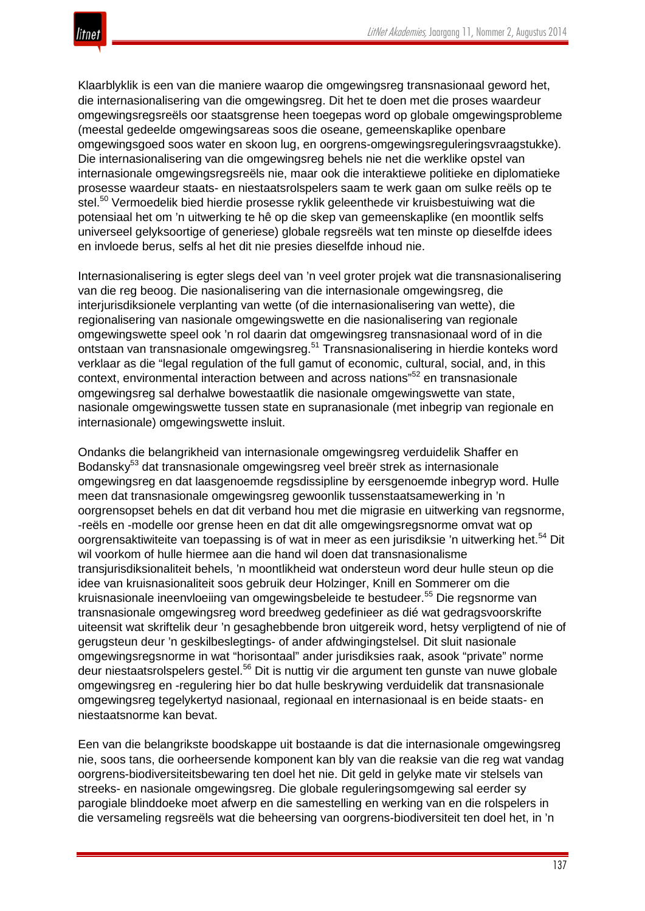Klaarblyklik is een van die maniere waarop die omgewingsreg transnasionaal geword het, die internasionalisering van die omgewingsreg. Dit het te doen met die proses waardeur omgewingsregsreëls oor staatsgrense heen toegepas word op globale omgewingsprobleme (meestal gedeelde omgewingsareas soos die oseane, gemeenskaplike openbare omgewingsgoed soos water en skoon lug, en oorgrens-omgewingsreguleringsvraagstukke). Die internasionalisering van die omgewingsreg behels nie net die werklike opstel van internasionale omgewingsregsreëls nie, maar ook die interaktiewe politieke en diplomatieke prosesse waardeur staats- en niestaatsrolspelers saam te werk gaan om sulke reëls op te stel.<sup>50</sup> Vermoedelik bied hierdie prosesse ryklik geleenthede vir kruisbestuiwing wat die potensiaal het om 'n uitwerking te hê op die skep van gemeenskaplike (en moontlik selfs universeel gelyksoortige of generiese) globale regsreëls wat ten minste op dieselfde idees en invloede berus, selfs al het dit nie presies dieselfde inhoud nie.

Internasionalisering is egter slegs deel van 'n veel groter projek wat die transnasionalisering van die reg beoog. Die nasionalisering van die internasionale omgewingsreg, die interjurisdiksionele verplanting van wette (of die internasionalisering van wette), die regionalisering van nasionale omgewingswette en die nasionalisering van regionale omgewingswette speel ook 'n rol daarin dat omgewingsreg transnasionaal word of in die ontstaan van transnasionale omgewingsreg.<sup>51</sup> Transnasionalisering in hierdie konteks word verklaar as die "legal regulation of the full gamut of economic, cultural, social, and, in this context, environmental interaction between and across nations"<sup>52</sup> en transnasionale omgewingsreg sal derhalwe bowestaatlik die nasionale omgewingswette van state, nasionale omgewingswette tussen state en supranasionale (met inbegrip van regionale en internasionale) omgewingswette insluit.

Ondanks die belangrikheid van internasionale omgewingsreg verduidelik Shaffer en Bodansky<sup>53</sup> dat transnasionale omgewingsreg veel breër strek as internasionale omgewingsreg en dat laasgenoemde regsdissipline by eersgenoemde inbegryp word. Hulle meen dat transnasionale omgewingsreg gewoonlik tussenstaatsamewerking in 'n oorgrensopset behels en dat dit verband hou met die migrasie en uitwerking van regsnorme, -reëls en -modelle oor grense heen en dat dit alle omgewingsregsnorme omvat wat op oorgrensaktiwiteite van toepassing is of wat in meer as een jurisdiksie 'n uitwerking het.<sup>54</sup> Dit wil voorkom of hulle hiermee aan die hand wil doen dat transnasionalisme transjurisdiksionaliteit behels, 'n moontlikheid wat ondersteun word deur hulle steun op die idee van kruisnasionaliteit soos gebruik deur Holzinger, Knill en Sommerer om die kruisnasionale ineenvloeiing van omgewingsbeleide te bestudeer.<sup>55</sup> Die regsnorme van transnasionale omgewingsreg word breedweg gedefinieer as dié wat gedragsvoorskrifte uiteensit wat skriftelik deur 'n gesaghebbende bron uitgereik word, hetsy verpligtend of nie of gerugsteun deur 'n geskilbeslegtings- of ander afdwingingstelsel. Dit sluit nasionale omgewingsregsnorme in wat "horisontaal" ander jurisdiksies raak, asook "private" norme deur niestaatsrolspelers gestel.<sup>56</sup> Dit is nuttig vir die argument ten gunste van nuwe globale omgewingsreg en -regulering hier bo dat hulle beskrywing verduidelik dat transnasionale omgewingsreg tegelykertyd nasionaal, regionaal en internasionaal is en beide staats- en niestaatsnorme kan bevat.

Een van die belangrikste boodskappe uit bostaande is dat die internasionale omgewingsreg nie, soos tans, die oorheersende komponent kan bly van die reaksie van die reg wat vandag oorgrens-biodiversiteitsbewaring ten doel het nie. Dit geld in gelyke mate vir stelsels van streeks- en nasionale omgewingsreg. Die globale reguleringsomgewing sal eerder sy parogiale blinddoeke moet afwerp en die samestelling en werking van en die rolspelers in die versameling regsreëls wat die beheersing van oorgrens-biodiversiteit ten doel het, in 'n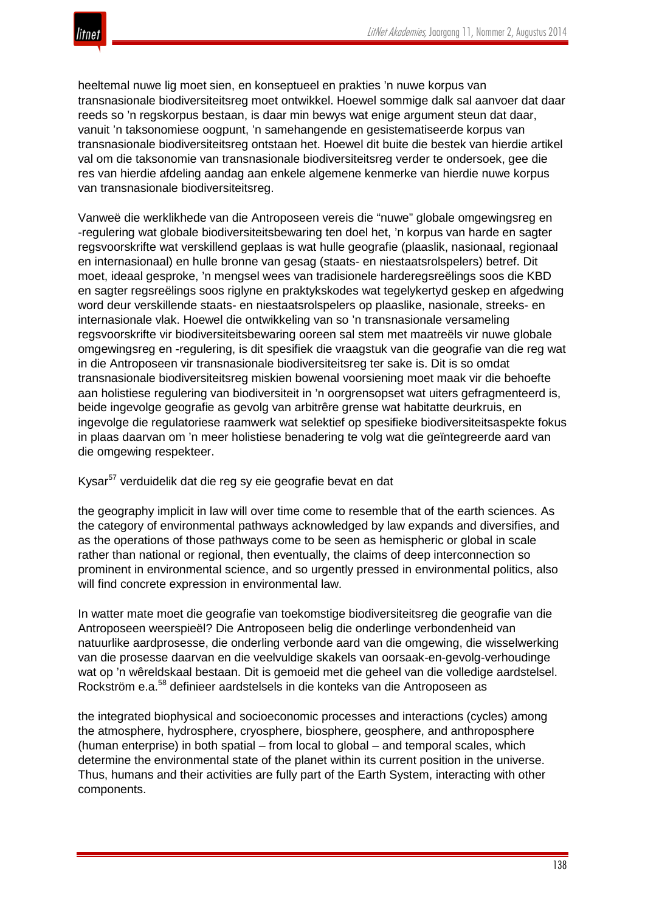

heeltemal nuwe lig moet sien, en konseptueel en prakties 'n nuwe korpus van transnasionale biodiversiteitsreg moet ontwikkel. Hoewel sommige dalk sal aanvoer dat daar reeds so 'n regskorpus bestaan, is daar min bewys wat enige argument steun dat daar, vanuit 'n taksonomiese oogpunt, 'n samehangende en gesistematiseerde korpus van transnasionale biodiversiteitsreg ontstaan het. Hoewel dit buite die bestek van hierdie artikel val om die taksonomie van transnasionale biodiversiteitsreg verder te ondersoek, gee die res van hierdie afdeling aandag aan enkele algemene kenmerke van hierdie nuwe korpus van transnasionale biodiversiteitsreg.

Vanweë die werklikhede van die Antroposeen vereis die "nuwe" globale omgewingsreg en -regulering wat globale biodiversiteitsbewaring ten doel het, 'n korpus van harde en sagter regsvoorskrifte wat verskillend geplaas is wat hulle geografie (plaaslik, nasionaal, regionaal en internasionaal) en hulle bronne van gesag (staats- en niestaatsrolspelers) betref. Dit moet, ideaal gesproke, 'n mengsel wees van tradisionele harderegsreëlings soos die KBD en sagter regsreëlings soos riglyne en praktykskodes wat tegelykertyd geskep en afgedwing word deur verskillende staats- en niestaatsrolspelers op plaaslike, nasionale, streeks- en internasionale vlak. Hoewel die ontwikkeling van so 'n transnasionale versameling regsvoorskrifte vir biodiversiteitsbewaring ooreen sal stem met maatreëls vir nuwe globale omgewingsreg en -regulering, is dit spesifiek die vraagstuk van die geografie van die reg wat in die Antroposeen vir transnasionale biodiversiteitsreg ter sake is. Dit is so omdat transnasionale biodiversiteitsreg miskien bowenal voorsiening moet maak vir die behoefte aan holistiese regulering van biodiversiteit in 'n oorgrensopset wat uiters gefragmenteerd is, beide ingevolge geografie as gevolg van arbitrêre grense wat habitatte deurkruis, en ingevolge die regulatoriese raamwerk wat selektief op spesifieke biodiversiteitsaspekte fokus in plaas daarvan om 'n meer holistiese benadering te volg wat die geïntegreerde aard van die omgewing respekteer.

Kysar<sup>57</sup> verduidelik dat die reg sy eie geografie bevat en dat

the geography implicit in law will over time come to resemble that of the earth sciences. As the category of environmental pathways acknowledged by law expands and diversifies, and as the operations of those pathways come to be seen as hemispheric or global in scale rather than national or regional, then eventually, the claims of deep interconnection so prominent in environmental science, and so urgently pressed in environmental politics, also will find concrete expression in environmental law.

In watter mate moet die geografie van toekomstige biodiversiteitsreg die geografie van die Antroposeen weerspieël? Die Antroposeen belig die onderlinge verbondenheid van natuurlike aardprosesse, die onderling verbonde aard van die omgewing, die wisselwerking van die prosesse daarvan en die veelvuldige skakels van oorsaak-en-gevolg-verhoudinge wat op 'n wêreldskaal bestaan. Dit is gemoeid met die geheel van die volledige aardstelsel. Rockström e.a.<sup>58</sup> definieer aardstelsels in die konteks van die Antroposeen as

the integrated biophysical and socioeconomic processes and interactions (cycles) among the atmosphere, hydrosphere, cryosphere, biosphere, geosphere, and anthroposphere (human enterprise) in both spatial – from local to global – and temporal scales, which determine the environmental state of the planet within its current position in the universe. Thus, humans and their activities are fully part of the Earth System, interacting with other components.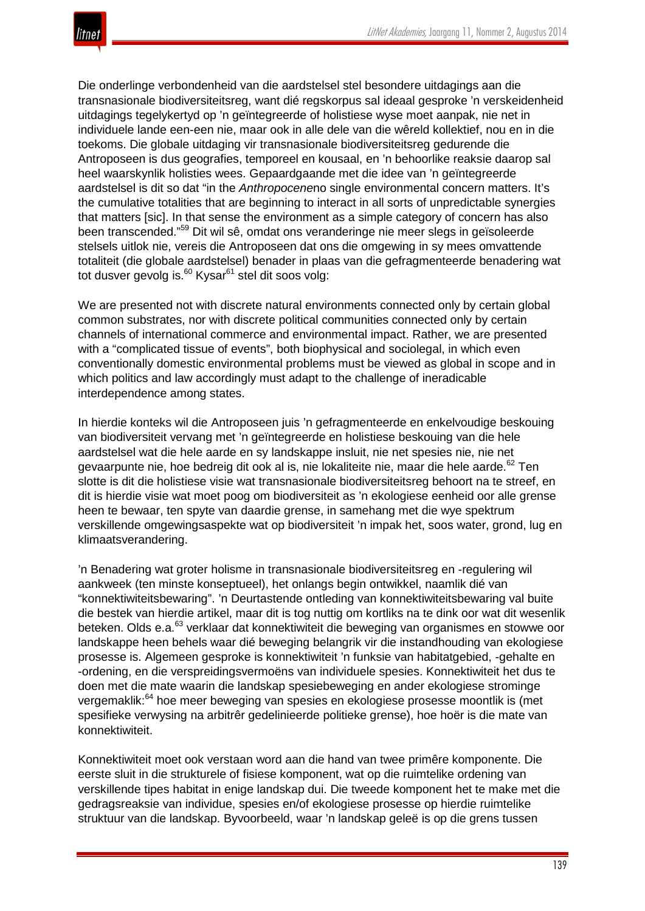

Die onderlinge verbondenheid van die aardstelsel stel besondere uitdagings aan die transnasionale biodiversiteitsreg, want dié regskorpus sal ideaal gesproke 'n verskeidenheid uitdagings tegelykertyd op 'n geïntegreerde of holistiese wyse moet aanpak, nie net in individuele lande een-een nie, maar ook in alle dele van die wêreld kollektief, nou en in die toekoms. Die globale uitdaging vir transnasionale biodiversiteitsreg gedurende die Antroposeen is dus geografies, temporeel en kousaal, en 'n behoorlike reaksie daarop sal heel waarskynlik holisties wees. Gepaardgaande met die idee van 'n geïntegreerde aardstelsel is dit so dat "in the *Anthropocene*no single environmental concern matters. It's the cumulative totalities that are beginning to interact in all sorts of unpredictable synergies that matters [sic]. In that sense the environment as a simple category of concern has also been transcended."<sup>59</sup> Dit wil sê, omdat ons veranderinge nie meer slegs in geïsoleerde stelsels uitlok nie, vereis die Antroposeen dat ons die omgewing in sy mees omvattende totaliteit (die globale aardstelsel) benader in plaas van die gefragmenteerde benadering wat tot dusver gevolg is. $60$  Kysar $61$  stel dit soos volg:

We are presented not with discrete natural environments connected only by certain global common substrates, nor with discrete political communities connected only by certain channels of international commerce and environmental impact. Rather, we are presented with a "complicated tissue of events", both biophysical and sociolegal, in which even conventionally domestic environmental problems must be viewed as global in scope and in which politics and law accordingly must adapt to the challenge of ineradicable interdependence among states.

In hierdie konteks wil die Antroposeen juis 'n gefragmenteerde en enkelvoudige beskouing van biodiversiteit vervang met 'n geïntegreerde en holistiese beskouing van die hele aardstelsel wat die hele aarde en sy landskappe insluit, nie net spesies nie, nie net gevaarpunte nie, hoe bedreig dit ook al is, nie lokaliteite nie, maar die hele aarde. $62$  Ten slotte is dit die holistiese visie wat transnasionale biodiversiteitsreg behoort na te streef, en dit is hierdie visie wat moet poog om biodiversiteit as 'n ekologiese eenheid oor alle grense heen te bewaar, ten spyte van daardie grense, in samehang met die wye spektrum verskillende omgewingsaspekte wat op biodiversiteit 'n impak het, soos water, grond, lug en klimaatsverandering.

'n Benadering wat groter holisme in transnasionale biodiversiteitsreg en -regulering wil aankweek (ten minste konseptueel), het onlangs begin ontwikkel, naamlik dié van "konnektiwiteitsbewaring". 'n Deurtastende ontleding van konnektiwiteitsbewaring val buite die bestek van hierdie artikel, maar dit is tog nuttig om kortliks na te dink oor wat dit wesenlik beteken. Olds e.a.<sup>63</sup> verklaar dat konnektiwiteit die beweging van organismes en stowwe oor landskappe heen behels waar dié beweging belangrik vir die instandhouding van ekologiese prosesse is. Algemeen gesproke is konnektiwiteit 'n funksie van habitatgebied, -gehalte en -ordening, en die verspreidingsvermoëns van individuele spesies. Konnektiwiteit het dus te doen met die mate waarin die landskap spesiebeweging en ander ekologiese strominge vergemaklik:<sup>64</sup> hoe meer beweging van spesies en ekologiese prosesse moontlik is (met spesifieke verwysing na arbitrêr gedelinieerde politieke grense), hoe hoër is die mate van konnektiwiteit.

Konnektiwiteit moet ook verstaan word aan die hand van twee primêre komponente. Die eerste sluit in die strukturele of fisiese komponent, wat op die ruimtelike ordening van verskillende tipes habitat in enige landskap dui. Die tweede komponent het te make met die gedragsreaksie van individue, spesies en/of ekologiese prosesse op hierdie ruimtelike struktuur van die landskap. Byvoorbeeld, waar 'n landskap geleë is op die grens tussen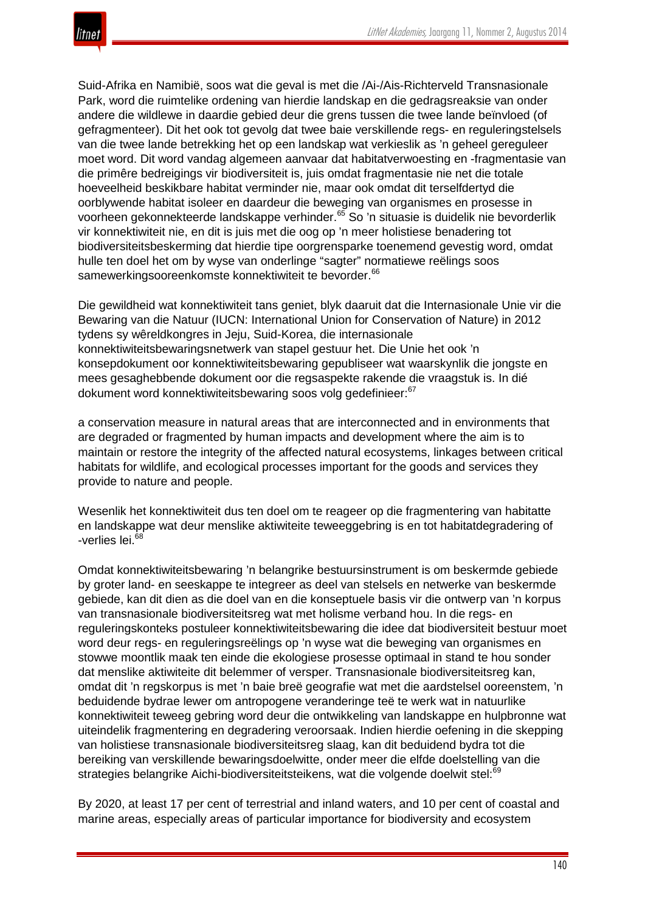

Suid-Afrika en Namibië, soos wat die geval is met die /Ai-/Ais-Richterveld Transnasionale Park, word die ruimtelike ordening van hierdie landskap en die gedragsreaksie van onder andere die wildlewe in daardie gebied deur die grens tussen die twee lande beïnvloed (of gefragmenteer). Dit het ook tot gevolg dat twee baie verskillende regs- en reguleringstelsels van die twee lande betrekking het op een landskap wat verkieslik as 'n geheel gereguleer moet word. Dit word vandag algemeen aanvaar dat habitatverwoesting en -fragmentasie van die primêre bedreigings vir biodiversiteit is, juis omdat fragmentasie nie net die totale hoeveelheid beskikbare habitat verminder nie, maar ook omdat dit terselfdertyd die oorblywende habitat isoleer en daardeur die beweging van organismes en prosesse in voorheen gekonnekteerde landskappe verhinder.<sup>65</sup> So 'n situasie is duidelik nie bevorderlik vir konnektiwiteit nie, en dit is juis met die oog op 'n meer holistiese benadering tot biodiversiteitsbeskerming dat hierdie tipe oorgrensparke toenemend gevestig word, omdat hulle ten doel het om by wyse van onderlinge "sagter" normatiewe reëlings soos samewerkingsooreenkomste konnektiwiteit te bevorder.<sup>66</sup>

Die gewildheid wat konnektiwiteit tans geniet, blyk daaruit dat die Internasionale Unie vir die Bewaring van die Natuur (IUCN: International Union for Conservation of Nature) in 2012 tydens sy wêreldkongres in Jeju, Suid-Korea, die internasionale konnektiwiteitsbewaringsnetwerk van stapel gestuur het. Die Unie het ook 'n konsepdokument oor konnektiwiteitsbewaring gepubliseer wat waarskynlik die jongste en mees gesaghebbende dokument oor die regsaspekte rakende die vraagstuk is. In dié dokument word konnektiwiteitsbewaring soos volg gedefinieer:<sup>67</sup>

a conservation measure in natural areas that are interconnected and in environments that are degraded or fragmented by human impacts and development where the aim is to maintain or restore the integrity of the affected natural ecosystems, linkages between critical habitats for wildlife, and ecological processes important for the goods and services they provide to nature and people.

Wesenlik het konnektiwiteit dus ten doel om te reageer op die fragmentering van habitatte en landskappe wat deur menslike aktiwiteite teweeggebring is en tot habitatdegradering of -verlies lei.<sup>68</sup>

Omdat konnektiwiteitsbewaring 'n belangrike bestuursinstrument is om beskermde gebiede by groter land- en seeskappe te integreer as deel van stelsels en netwerke van beskermde gebiede, kan dit dien as die doel van en die konseptuele basis vir die ontwerp van 'n korpus van transnasionale biodiversiteitsreg wat met holisme verband hou. In die regs- en reguleringskonteks postuleer konnektiwiteitsbewaring die idee dat biodiversiteit bestuur moet word deur regs- en reguleringsreëlings op 'n wyse wat die beweging van organismes en stowwe moontlik maak ten einde die ekologiese prosesse optimaal in stand te hou sonder dat menslike aktiwiteite dit belemmer of versper. Transnasionale biodiversiteitsreg kan, omdat dit 'n regskorpus is met 'n baie breë geografie wat met die aardstelsel ooreenstem, 'n beduidende bydrae lewer om antropogene veranderinge teë te werk wat in natuurlike konnektiwiteit teweeg gebring word deur die ontwikkeling van landskappe en hulpbronne wat uiteindelik fragmentering en degradering veroorsaak. Indien hierdie oefening in die skepping van holistiese transnasionale biodiversiteitsreg slaag, kan dit beduidend bydra tot die bereiking van verskillende bewaringsdoelwitte, onder meer die elfde doelstelling van die strategies belangrike Aichi-biodiversiteitsteikens, wat die volgende doelwit stel:<sup>69</sup>

By 2020, at least 17 per cent of terrestrial and inland waters, and 10 per cent of coastal and marine areas, especially areas of particular importance for biodiversity and ecosystem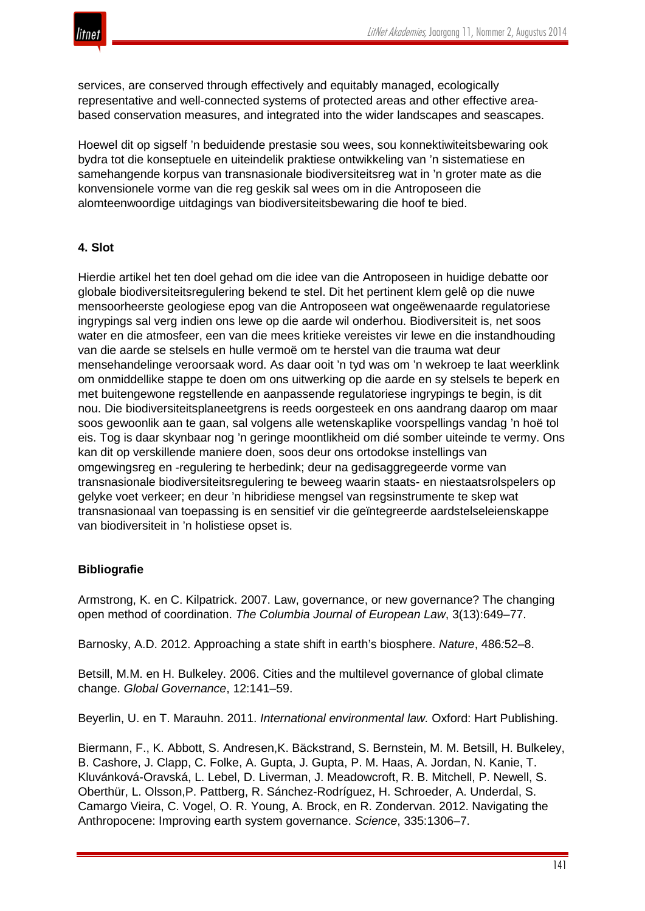

services, are conserved through effectively and equitably managed, ecologically representative and well-connected systems of protected areas and other effective areabased conservation measures, and integrated into the wider landscapes and seascapes.

Hoewel dit op sigself 'n beduidende prestasie sou wees, sou konnektiwiteitsbewaring ook bydra tot die konseptuele en uiteindelik praktiese ontwikkeling van 'n sistematiese en samehangende korpus van transnasionale biodiversiteitsreg wat in 'n groter mate as die konvensionele vorme van die reg geskik sal wees om in die Antroposeen die alomteenwoordige uitdagings van biodiversiteitsbewaring die hoof te bied.

## **4. Slot**

Hierdie artikel het ten doel gehad om die idee van die Antroposeen in huidige debatte oor globale biodiversiteitsregulering bekend te stel. Dit het pertinent klem gelê op die nuwe mensoorheerste geologiese epog van die Antroposeen wat ongeëwenaarde regulatoriese ingrypings sal verg indien ons lewe op die aarde wil onderhou. Biodiversiteit is, net soos water en die atmosfeer, een van die mees kritieke vereistes vir lewe en die instandhouding van die aarde se stelsels en hulle vermoë om te herstel van die trauma wat deur mensehandelinge veroorsaak word. As daar ooit 'n tyd was om 'n wekroep te laat weerklink om onmiddellike stappe te doen om ons uitwerking op die aarde en sy stelsels te beperk en met buitengewone regstellende en aanpassende regulatoriese ingrypings te begin, is dit nou. Die biodiversiteitsplaneetgrens is reeds oorgesteek en ons aandrang daarop om maar soos gewoonlik aan te gaan, sal volgens alle wetenskaplike voorspellings vandag 'n hoë tol eis. Tog is daar skynbaar nog 'n geringe moontlikheid om dié somber uiteinde te vermy. Ons kan dit op verskillende maniere doen, soos deur ons ortodokse instellings van omgewingsreg en -regulering te herbedink; deur na gedisaggregeerde vorme van transnasionale biodiversiteitsregulering te beweeg waarin staats- en niestaatsrolspelers op gelyke voet verkeer; en deur 'n hibridiese mengsel van regsinstrumente te skep wat transnasionaal van toepassing is en sensitief vir die geïntegreerde aardstelseleienskappe van biodiversiteit in 'n holistiese opset is.

## **Bibliografie**

Armstrong, K. en C. Kilpatrick. 2007. Law, governance, or new governance? The changing open method of coordination. *The Columbia Journal of European Law*, 3(13):649–77.

Barnosky, A.D. 2012. Approaching a state shift in earth's biosphere. *Nature*, 486*:*52–8.

Betsill, M.M. en H. Bulkeley. 2006. Cities and the multilevel governance of global climate change. *Global Governance*, 12:141–59.

Beyerlin, U. en T. Marauhn. 2011. *International environmental law.* Oxford: Hart Publishing.

Biermann, F., K. Abbott, S. Andresen,K. Bäckstrand, S. Bernstein, M. M. Betsill, H. Bulkeley, B. Cashore, J. Clapp, C. Folke, A. Gupta, J. Gupta, P. M. Haas, A. Jordan, N. Kanie, T. Kluvánková-Oravská, L. Lebel, D. Liverman, J. Meadowcroft, R. B. Mitchell, P. Newell, S. Oberthür, L. Olsson,P. Pattberg, R. Sánchez-Rodríguez, H. Schroeder, A. Underdal, S. Camargo Vieira, C. Vogel, O. R. Young, A. Brock, en R. Zondervan. 2012. Navigating the Anthropocene: Improving earth system governance. *Science*, 335:1306–7.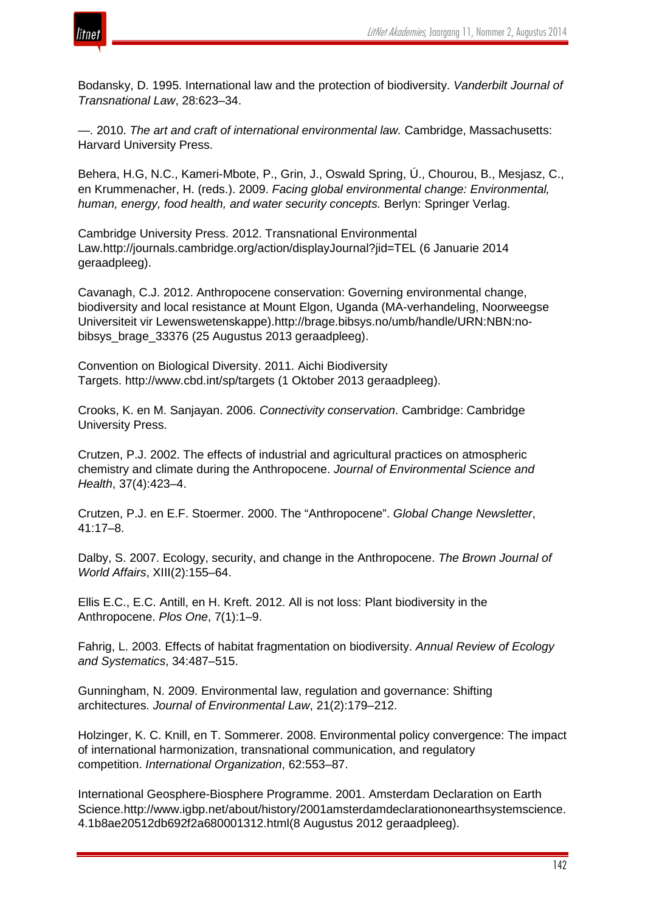

Bodansky, D. 1995. International law and the protection of biodiversity. *Vanderbilt Journal of Transnational Law*, 28:623–34.

—. 2010. *The art and craft of international environmental law.* Cambridge, Massachusetts: Harvard University Press.

Behera, H.G, N.C., Kameri-Mbote, P., Grin, J., Oswald Spring, Ú., Chourou, B., Mesjasz, C., en Krummenacher, H. (reds.). 2009. *Facing global environmental change: Environmental, human, energy, food health, and water security concepts.* Berlyn: Springer Verlag.

Cambridge University Press. 2012. Transnational Environmental Law.http://journals.cambridge.org/action/displayJournal?jid=TEL (6 Januarie 2014 geraadpleeg).

Cavanagh, C.J. 2012. Anthropocene conservation: Governing environmental change, biodiversity and local resistance at Mount Elgon, Uganda (MA-verhandeling, Noorweegse Universiteit vir Lewenswetenskappe).http://brage.bibsys.no/umb/handle/URN:NBN:nobibsys\_brage\_33376 (25 Augustus 2013 geraadpleeg).

Convention on Biological Diversity. 2011. Aichi Biodiversity Targets. http://www.cbd.int/sp/targets (1 Oktober 2013 geraadpleeg).

Crooks, K. en M. Sanjayan. 2006. *Connectivity conservation*. Cambridge: Cambridge University Press.

Crutzen, P.J. 2002. The effects of industrial and agricultural practices on atmospheric chemistry and climate during the Anthropocene. *Journal of Environmental Science and Health*, 37(4):423–4.

Crutzen, P.J. en E.F. Stoermer. 2000. The "Anthropocene". *Global Change Newsletter*, 41:17–8.

Dalby, S. 2007. Ecology, security, and change in the Anthropocene. *The Brown Journal of World Affairs*, XIII(2):155–64.

Ellis E.C., E.C. Antill, en H. Kreft. 2012. All is not loss: Plant biodiversity in the Anthropocene. *Plos One*, 7(1):1–9.

Fahrig, L. 2003. Effects of habitat fragmentation on biodiversity. *Annual Review of Ecology and Systematics*, 34:487–515.

Gunningham, N. 2009. Environmental law, regulation and governance: Shifting architectures. *Journal of Environmental Law*, 21(2):179–212.

Holzinger, K. C. Knill, en T. Sommerer. 2008. Environmental policy convergence: The impact of international harmonization, transnational communication, and regulatory competition. *International Organization*, 62:553–87.

International Geosphere-Biosphere Programme. 2001. Amsterdam Declaration on Earth Science.http://www.igbp.net/about/history/2001amsterdamdeclarationonearthsystemscience. 4.1b8ae20512db692f2a680001312.html(8 Augustus 2012 geraadpleeg).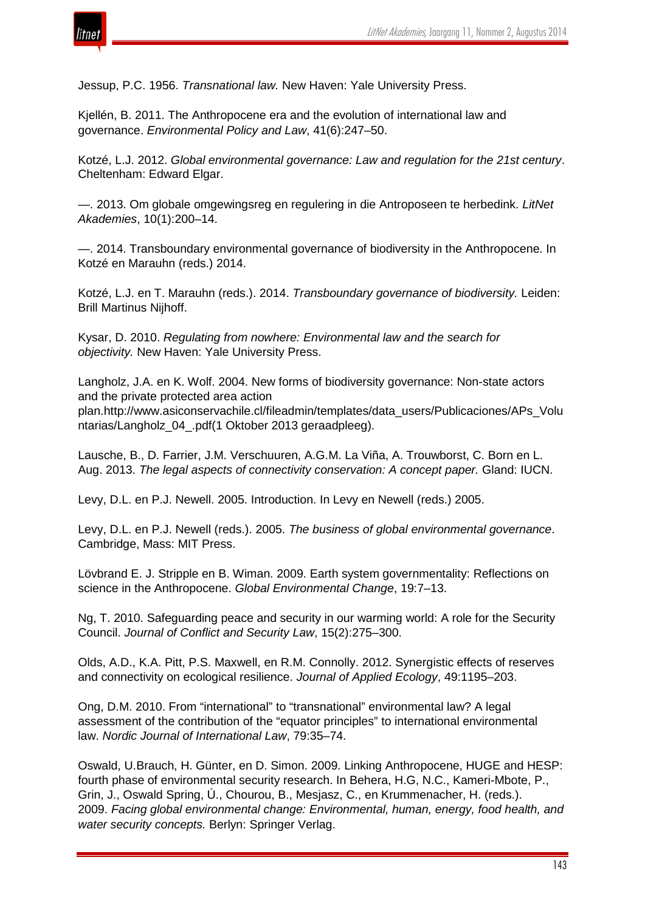

Jessup, P.C. 1956. *Transnational law.* New Haven: Yale University Press.

Kjellén, B. 2011. The Anthropocene era and the evolution of international law and governance. *Environmental Policy and Law*, 41(6):247–50.

Kotzé, L.J. 2012. *Global environmental governance: Law and regulation for the 21st century*. Cheltenham: Edward Elgar.

—. 2013. Om globale omgewingsreg en regulering in die Antroposeen te herbedink. *LitNet Akademies*, 10(1):200–14.

—. 2014. Transboundary environmental governance of biodiversity in the Anthropocene. In Kotzé en Marauhn (reds.) 2014.

Kotzé, L.J. en T. Marauhn (reds.). 2014. *Transboundary governance of biodiversity.* Leiden: Brill Martinus Nijhoff.

Kysar, D. 2010. *Regulating from nowhere: Environmental law and the search for objectivity.* New Haven: Yale University Press.

Langholz, J.A. en K. Wolf. 2004. New forms of biodiversity governance: Non-state actors and the private protected area action plan.http://www.asiconservachile.cl/fileadmin/templates/data\_users/Publicaciones/APs\_Volu

ntarias/Langholz\_04\_.pdf(1 Oktober 2013 geraadpleeg).

Lausche, B., D. Farrier, J.M. Verschuuren, A.G.M. La Viña, A. Trouwborst, C. Born en L. Aug. 2013. *The legal aspects of connectivity conservation: A concept paper.* Gland: IUCN.

Levy, D.L. en P.J. Newell. 2005. Introduction. In Levy en Newell (reds.) 2005.

Levy, D.L. en P.J. Newell (reds.). 2005. *The business of global environmental governance*. Cambridge, Mass: MIT Press.

Lövbrand E. J. Stripple en B. Wiman. 2009. Earth system governmentality: Reflections on science in the Anthropocene. *Global Environmental Change*, 19:7–13.

Ng, T. 2010. Safeguarding peace and security in our warming world: A role for the Security Council. *Journal of Conflict and Security Law*, 15(2):275–300.

Olds, A.D., K.A. Pitt, P.S. Maxwell, en R.M. Connolly. 2012. Synergistic effects of reserves and connectivity on ecological resilience. *Journal of Applied Ecology*, 49:1195–203.

Ong, D.M. 2010. From "international" to "transnational" environmental law? A legal assessment of the contribution of the "equator principles" to international environmental law. *Nordic Journal of International Law*, 79:35–74.

Oswald, U.Brauch, H. Günter, en D. Simon. 2009. Linking Anthropocene, HUGE and HESP: fourth phase of environmental security research. In Behera, H.G, N.C., Kameri-Mbote, P., Grin, J., Oswald Spring, Ú., Chourou, B., Mesjasz, C., en Krummenacher, H. (reds.). 2009. *Facing global environmental change: Environmental, human, energy, food health, and water security concepts.* Berlyn: Springer Verlag.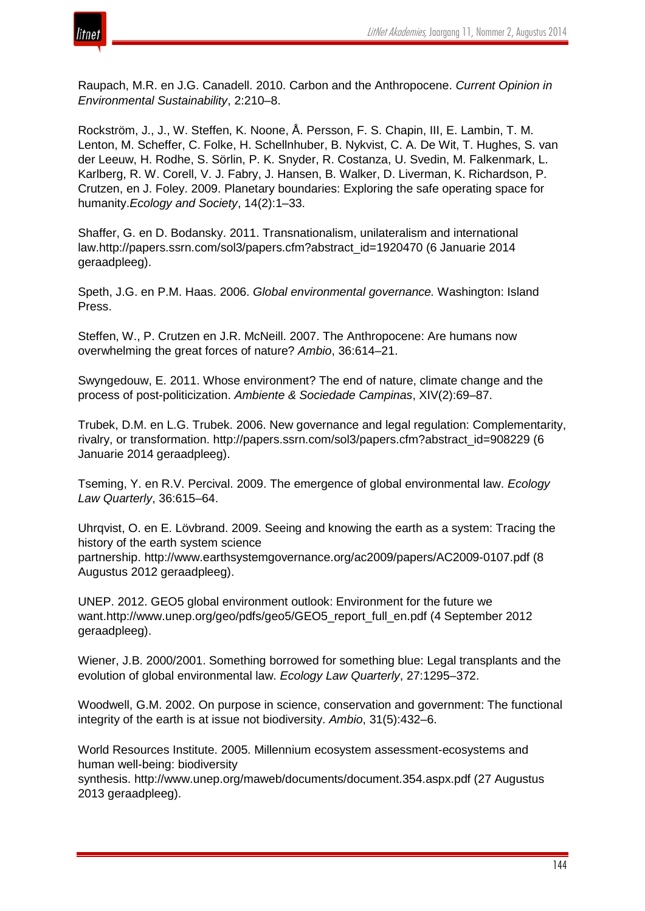

Raupach, M.R. en J.G. Canadell. 2010. Carbon and the Anthropocene. *Current Opinion in Environmental Sustainability*, 2:210–8.

Rockström, J., J., W. Steffen, K. Noone, Å. Persson, F. S. Chapin, III, E. Lambin, T. M. Lenton, M. Scheffer, C. Folke, H. Schellnhuber, B. Nykvist, C. A. De Wit, T. Hughes, S. van der Leeuw, H. Rodhe, S. Sörlin, P. K. Snyder, R. Costanza, U. Svedin, M. Falkenmark, L. Karlberg, R. W. Corell, V. J. Fabry, J. Hansen, B. Walker, D. Liverman, K. Richardson, P. Crutzen, en J. Foley. 2009. Planetary boundaries: Exploring the safe operating space for humanity.*Ecology and Society*, 14(2):1–33.

Shaffer, G. en D. Bodansky. 2011. Transnationalism, unilateralism and international law.http://papers.ssrn.com/sol3/papers.cfm?abstract\_id=1920470 (6 Januarie 2014 geraadpleeg).

Speth, J.G. en P.M. Haas. 2006. *Global environmental governance.* Washington: Island Press.

Steffen, W., P. Crutzen en J.R. McNeill. 2007. The Anthropocene: Are humans now overwhelming the great forces of nature? *Ambio*, 36:614–21.

Swyngedouw, E. 2011. Whose environment? The end of nature, climate change and the process of post-politicization. *Ambiente & Sociedade Campinas*, XIV(2):69–87.

Trubek, D.M. en L.G. Trubek. 2006. New governance and legal regulation: Complementarity, rivalry, or transformation. http://papers.ssrn.com/sol3/papers.cfm?abstract\_id=908229 (6 Januarie 2014 geraadpleeg).

Tseming, Y. en R.V. Percival. 2009. The emergence of global environmental law. *Ecology Law Quarterly*, 36:615–64.

Uhrqvist, O. en E. Lövbrand. 2009. Seeing and knowing the earth as a system: Tracing the history of the earth system science partnership. http://www.earthsystemgovernance.org/ac2009/papers/AC2009-0107.pdf (8 Augustus 2012 geraadpleeg).

UNEP. 2012. GEO5 global environment outlook: Environment for the future we want.http://www.unep.org/geo/pdfs/geo5/GEO5\_report\_full\_en.pdf (4 September 2012 geraadpleeg).

Wiener, J.B. 2000/2001. Something borrowed for something blue: Legal transplants and the evolution of global environmental law. *Ecology Law Quarterly*, 27:1295–372.

Woodwell, G.M. 2002. On purpose in science, conservation and government: The functional integrity of the earth is at issue not biodiversity. *Ambio*, 31(5):432–6.

World Resources Institute. 2005. Millennium ecosystem assessment-ecosystems and human well-being: biodiversity

synthesis. http://www.unep.org/maweb/documents/document.354.aspx.pdf (27 Augustus 2013 geraadpleeg).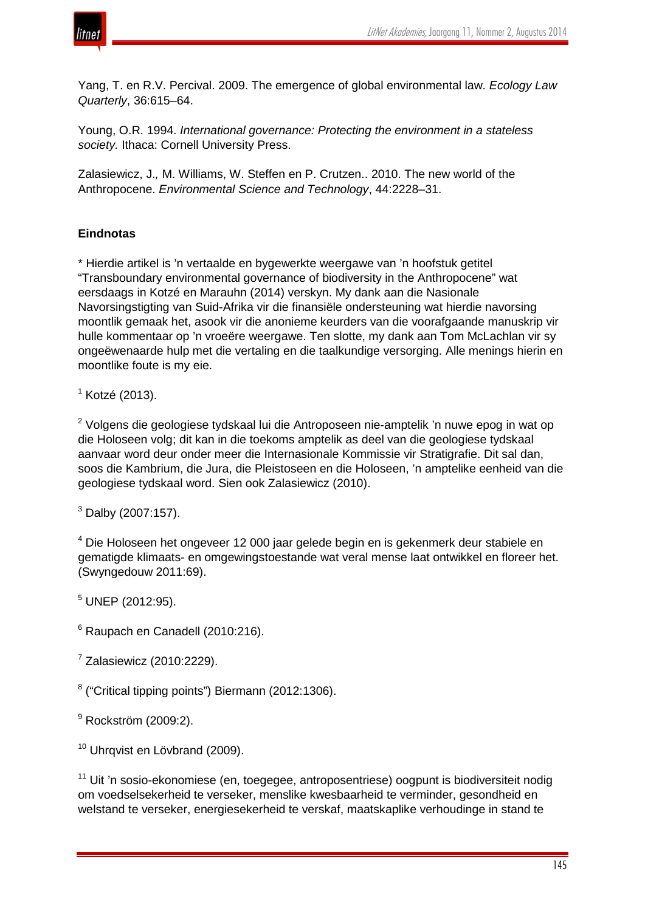

Yang, T. en R.V. Percival. 2009. The emergence of global environmental law. *Ecology Law Quarterly*, 36:615–64.

Young, O.R. 1994. *International governance: Protecting the environment in a stateless society.* Ithaca: Cornell University Press.

Zalasiewicz, J.*,* M. Williams, W. Steffen en P. Crutzen.. 2010. The new world of the Anthropocene. *Environmental Science and Technology*, 44:2228–31.

## **Eindnotas**

\* Hierdie artikel is 'n vertaalde en bygewerkte weergawe van 'n hoofstuk getitel "Transboundary environmental governance of biodiversity in the Anthropocene" wat eersdaags in Kotzé en Marauhn (2014) verskyn. My dank aan die Nasionale Navorsingstigting van Suid-Afrika vir die finansiële ondersteuning wat hierdie navorsing moontlik gemaak het, asook vir die anonieme keurders van die voorafgaande manuskrip vir hulle kommentaar op 'n vroeëre weergawe. Ten slotte, my dank aan Tom McLachlan vir sy ongeëwenaarde hulp met die vertaling en die taalkundige versorging. Alle menings hierin en moontlike foute is my eie.

 $1$  Kotzé (2013).

<sup>2</sup> Volgens die geologiese tydskaal lui die Antroposeen nie-amptelik 'n nuwe epog in wat op die Holoseen volg; dit kan in die toekoms amptelik as deel van die geologiese tydskaal aanvaar word deur onder meer die Internasionale Kommissie vir Stratigrafie. Dit sal dan, soos die Kambrium, die Jura, die Pleistoseen en die Holoseen, 'n amptelike eenheid van die geologiese tydskaal word. Sien ook Zalasiewicz (2010).

 $3$  Dalby (2007:157).

<sup>4</sup> Die Holoseen het ongeveer 12 000 jaar gelede begin en is gekenmerk deur stabiele en gematigde klimaats- en omgewingstoestande wat veral mense laat ontwikkel en floreer het. (Swyngedouw 2011:69).

<sup>5</sup> UNEP (2012:95).

<sup>6</sup> Raupach en Canadell (2010:216).

 $7$  Zalasiewicz (2010:2229).

<sup>8</sup> ("Critical tipping points") Biermann (2012:1306).

 $9$  Rockström (2009:2).

 $10$  Uhravist en Lövbrand (2009).

<sup>11</sup> Uit 'n sosio-ekonomiese (en, toegegee, antroposentriese) oogpunt is biodiversiteit nodig om voedselsekerheid te verseker, menslike kwesbaarheid te verminder, gesondheid en welstand te verseker, energiesekerheid te verskaf, maatskaplike verhoudinge in stand te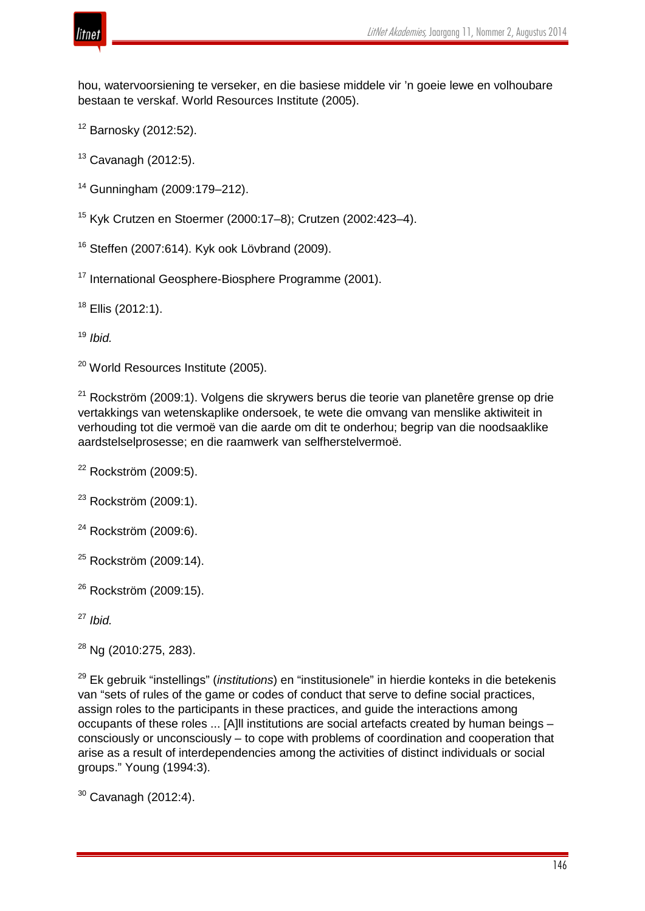

hou, watervoorsiening te verseker, en die basiese middele vir 'n goeie lewe en volhoubare bestaan te verskaf. World Resources Institute (2005).

- <sup>12</sup> Barnosky (2012:52).
- $13$  Cavanagh (2012:5).
- <sup>14</sup> Gunningham (2009:179–212).

<sup>15</sup> Kyk Crutzen en Stoermer (2000:17–8); Crutzen (2002:423–4).

 $16$  Steffen (2007:614). Kyk ook Lövbrand (2009).

<sup>17</sup> International Geosphere-Biosphere Programme (2001).

 $18$  Ellis (2012:1).

<sup>19</sup> *Ibid.*

<sup>20</sup> World Resources Institute (2005).

 $21$  Rockström (2009:1). Volgens die skrywers berus die teorie van planetêre grense op drie vertakkings van wetenskaplike ondersoek, te wete die omvang van menslike aktiwiteit in verhouding tot die vermoë van die aarde om dit te onderhou; begrip van die noodsaaklike aardstelselprosesse; en die raamwerk van selfherstelvermoë.

 $22$  Rockström (2009:5).

 $23$  Rockström (2009:1).

- <sup>25</sup> Rockström (2009:14).
- <sup>26</sup> Rockström (2009:15).

<sup>28</sup> Ng (2010:275, 283).

<sup>29</sup> Ek gebruik "instellings" (*institutions*) en "institusionele" in hierdie konteks in die betekenis van "sets of rules of the game or codes of conduct that serve to define social practices, assign roles to the participants in these practices, and guide the interactions among occupants of these roles ... [A]ll institutions are social artefacts created by human beings – consciously or unconsciously – to cope with problems of coordination and cooperation that arise as a result of interdependencies among the activities of distinct individuals or social groups." Young (1994:3).

 $30$  Cavanagh (2012:4).

 $24$  Rockström (2009:6).

<sup>27</sup> *Ibid.*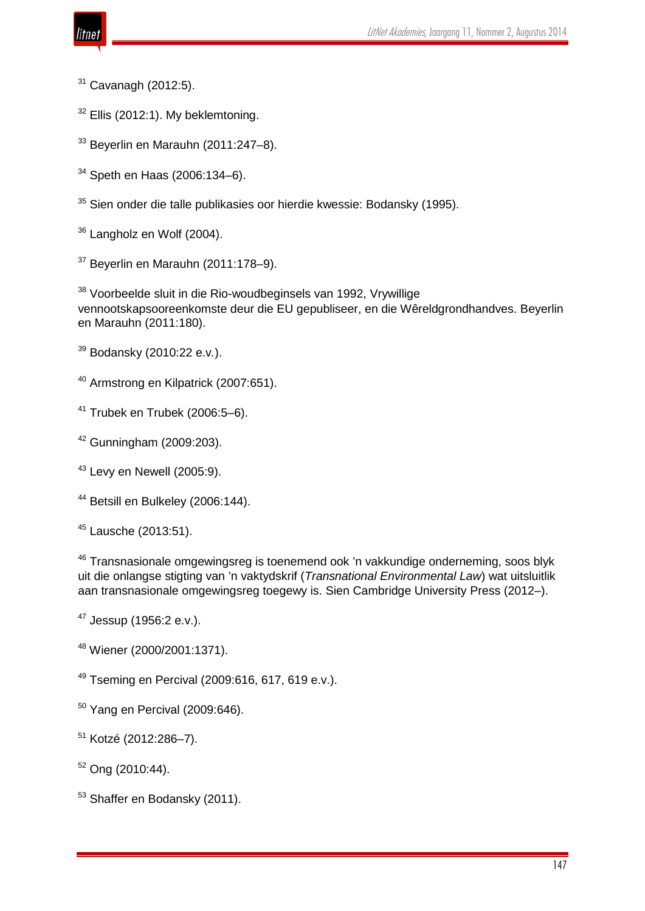Cavanagh (2012:5).

Ellis (2012:1). My beklemtoning.

- Beyerlin en Marauhn (2011:247-8).
- Speth en Haas (2006:134–6).

<sup>35</sup> Sien onder die talle publikasies oor hierdie kwessie: Bodansky (1995).

- Langholz en Wolf (2004).
- Beyerlin en Marauhn (2011:178-9).

 Voorbeelde sluit in die Rio-woudbeginsels van 1992, Vrywillige vennootskapsooreenkomste deur die EU gepubliseer, en die Wêreldgrondhandves. Beyerlin en Marauhn (2011:180).

- Bodansky (2010:22 e.v*.*).
- Armstrong en Kilpatrick (2007:651).
- Trubek en Trubek (2006:5–6).
- Gunningham (2009:203).
- Levy en Newell (2005:9).
- Betsill en Bulkeley (2006:144).
- Lausche (2013:51).

 Transnasionale omgewingsreg is toenemend ook 'n vakkundige onderneming, soos blyk uit die onlangse stigting van 'n vaktydskrif (*Transnational Environmental Law*) wat uitsluitlik aan transnasionale omgewingsreg toegewy is. Sien Cambridge University Press (2012–).

- Jessup (1956:2 e.v.).
- Wiener (2000/2001:1371).
- Tseming en Percival (2009:616, 617, 619 e.v.).
- Yang en Percival (2009:646).
- Kotzé (2012:286–7).
- Ong (2010:44).
- <sup>53</sup> Shaffer en Bodansky (2011).